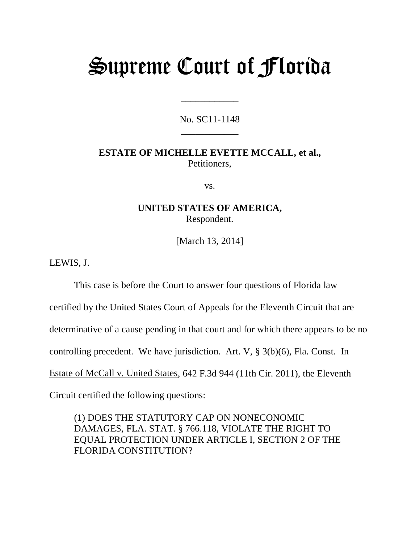# Supreme Court of Florida

No. SC11-1148 \_\_\_\_\_\_\_\_\_\_\_\_

\_\_\_\_\_\_\_\_\_\_\_\_

# **ESTATE OF MICHELLE EVETTE MCCALL, et al.,** Petitioners,

vs.

## **UNITED STATES OF AMERICA,** Respondent.

[March 13, 2014]

LEWIS, J.

This case is before the Court to answer four questions of Florida law

certified by the United States Court of Appeals for the Eleventh Circuit that are

determinative of a cause pending in that court and for which there appears to be no

controlling precedent. We have jurisdiction. Art. V, § 3(b)(6), Fla. Const. In

Estate of McCall v. United States, 642 F.3d 944 (11th Cir. 2011), the Eleventh

Circuit certified the following questions:

(1) DOES THE STATUTORY CAP ON NONECONOMIC DAMAGES, FLA. STAT. § 766.118, VIOLATE THE RIGHT TO EQUAL PROTECTION UNDER ARTICLE I, SECTION 2 OF THE FLORIDA CONSTITUTION?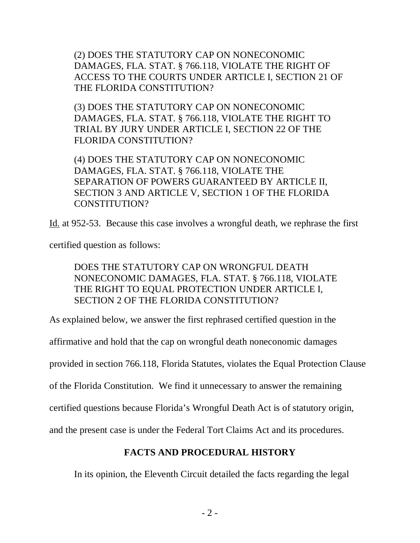(2) DOES THE STATUTORY CAP ON NONECONOMIC DAMAGES, FLA. STAT. § 766.118, VIOLATE THE RIGHT OF ACCESS TO THE COURTS UNDER ARTICLE I, SECTION 21 OF THE FLORIDA CONSTITUTION?

(3) DOES THE STATUTORY CAP ON NONECONOMIC DAMAGES, FLA. STAT. § 766.118, VIOLATE THE RIGHT TO TRIAL BY JURY UNDER ARTICLE I, SECTION 22 OF THE FLORIDA CONSTITUTION?

(4) DOES THE STATUTORY CAP ON NONECONOMIC DAMAGES, FLA. STAT. § 766.118, VIOLATE THE SEPARATION OF POWERS GUARANTEED BY ARTICLE II, SECTION 3 AND ARTICLE V, SECTION 1 OF THE FLORIDA CONSTITUTION?

Id. at 952-53. Because this case involves a wrongful death, we rephrase the first

certified question as follows:

# DOES THE STATUTORY CAP ON WRONGFUL DEATH NONECONOMIC DAMAGES, FLA. STAT. § 766.118, VIOLATE THE RIGHT TO EQUAL PROTECTION UNDER ARTICLE I, SECTION 2 OF THE FLORIDA CONSTITUTION?

As explained below, we answer the first rephrased certified question in the

affirmative and hold that the cap on wrongful death noneconomic damages

provided in section 766.118, Florida Statutes, violates the Equal Protection Clause

of the Florida Constitution. We find it unnecessary to answer the remaining

certified questions because Florida's Wrongful Death Act is of statutory origin,

and the present case is under the Federal Tort Claims Act and its procedures.

# **FACTS AND PROCEDURAL HISTORY**

In its opinion, the Eleventh Circuit detailed the facts regarding the legal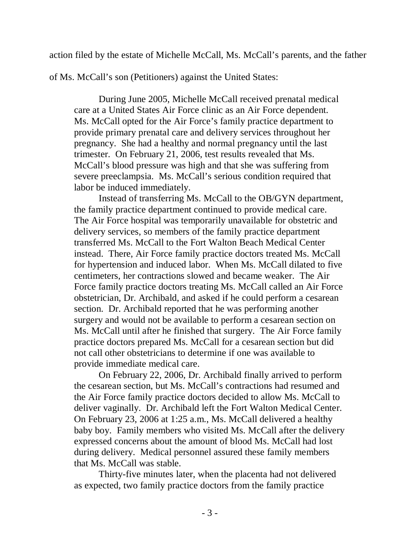action filed by the estate of Michelle McCall, Ms. McCall's parents, and the father

of Ms. McCall's son (Petitioners) against the United States:

During June 2005, Michelle McCall received prenatal medical care at a United States Air Force clinic as an Air Force dependent. Ms. McCall opted for the Air Force's family practice department to provide primary prenatal care and delivery services throughout her pregnancy. She had a healthy and normal pregnancy until the last trimester. On February 21, 2006, test results revealed that Ms. McCall's blood pressure was high and that she was suffering from severe preeclampsia. Ms. McCall's serious condition required that labor be induced immediately.

Instead of transferring Ms. McCall to the OB/GYN department, the family practice department continued to provide medical care. The Air Force hospital was temporarily unavailable for obstetric and delivery services, so members of the family practice department transferred Ms. McCall to the Fort Walton Beach Medical Center instead. There, Air Force family practice doctors treated Ms. McCall for hypertension and induced labor. When Ms. McCall dilated to five centimeters, her contractions slowed and became weaker. The Air Force family practice doctors treating Ms. McCall called an Air Force obstetrician, Dr. Archibald, and asked if he could perform a cesarean section. Dr. Archibald reported that he was performing another surgery and would not be available to perform a cesarean section on Ms. McCall until after he finished that surgery. The Air Force family practice doctors prepared Ms. McCall for a cesarean section but did not call other obstetricians to determine if one was available to provide immediate medical care.

On February 22, 2006, Dr. Archibald finally arrived to perform the cesarean section, but Ms. McCall's contractions had resumed and the Air Force family practice doctors decided to allow Ms. McCall to deliver vaginally. Dr. Archibald left the Fort Walton Medical Center. On February 23, 2006 at 1:25 a.m., Ms. McCall delivered a healthy baby boy. Family members who visited Ms. McCall after the delivery expressed concerns about the amount of blood Ms. McCall had lost during delivery. Medical personnel assured these family members that Ms. McCall was stable.

Thirty-five minutes later, when the placenta had not delivered as expected, two family practice doctors from the family practice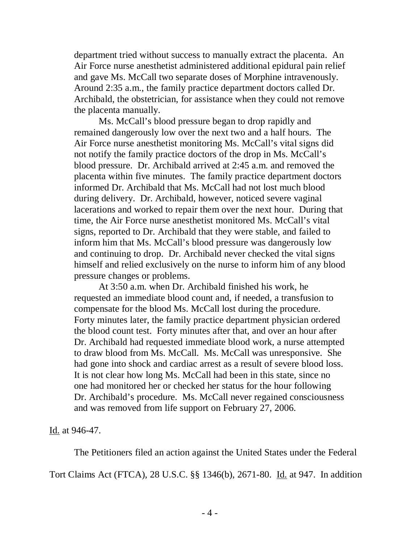department tried without success to manually extract the placenta. An Air Force nurse anesthetist administered additional epidural pain relief and gave Ms. McCall two separate doses of Morphine intravenously. Around 2:35 a.m., the family practice department doctors called Dr. Archibald, the obstetrician, for assistance when they could not remove the placenta manually.

Ms. McCall's blood pressure began to drop rapidly and remained dangerously low over the next two and a half hours. The Air Force nurse anesthetist monitoring Ms. McCall's vital signs did not notify the family practice doctors of the drop in Ms. McCall's blood pressure. Dr. Archibald arrived at 2:45 a.m. and removed the placenta within five minutes. The family practice department doctors informed Dr. Archibald that Ms. McCall had not lost much blood during delivery. Dr. Archibald, however, noticed severe vaginal lacerations and worked to repair them over the next hour. During that time, the Air Force nurse anesthetist monitored Ms. McCall's vital signs, reported to Dr. Archibald that they were stable, and failed to inform him that Ms. McCall's blood pressure was dangerously low and continuing to drop. Dr. Archibald never checked the vital signs himself and relied exclusively on the nurse to inform him of any blood pressure changes or problems.

At 3:50 a.m. when Dr. Archibald finished his work, he requested an immediate blood count and, if needed, a transfusion to compensate for the blood Ms. McCall lost during the procedure. Forty minutes later, the family practice department physician ordered the blood count test. Forty minutes after that, and over an hour after Dr. Archibald had requested immediate blood work, a nurse attempted to draw blood from Ms. McCall. Ms. McCall was unresponsive. She had gone into shock and cardiac arrest as a result of severe blood loss. It is not clear how long Ms. McCall had been in this state, since no one had monitored her or checked her status for the hour following Dr. Archibald's procedure. Ms. McCall never regained consciousness and was removed from life support on February 27, 2006.

Id. at 946-47.

The Petitioners filed an action against the United States under the Federal

Tort Claims Act (FTCA), 28 U.S.C. §§ 1346(b), 2671-80. Id. at 947. In addition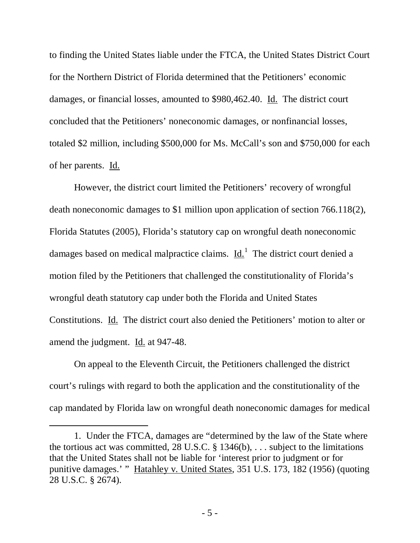to finding the United States liable under the FTCA, the United States District Court for the Northern District of Florida determined that the Petitioners' economic damages, or financial losses, amounted to \$980,462.40. Id. The district court concluded that the Petitioners' noneconomic damages, or nonfinancial losses, totaled \$2 million, including \$500,000 for Ms. McCall's son and \$750,000 for each of her parents. Id.

However, the district court limited the Petitioners' recovery of wrongful death noneconomic damages to \$1 million upon application of section 766.118(2), Florida Statutes (2005), Florida's statutory cap on wrongful death noneconomic damages based on medical malpractice claims.  $\underline{Id}$ .<sup>[1](#page-4-0)</sup> The district court denied a motion filed by the Petitioners that challenged the constitutionality of Florida's wrongful death statutory cap under both the Florida and United States Constitutions. Id. The district court also denied the Petitioners' motion to alter or amend the judgment. Id. at 947-48.

On appeal to the Eleventh Circuit, the Petitioners challenged the district court's rulings with regard to both the application and the constitutionality of the cap mandated by Florida law on wrongful death noneconomic damages for medical

 $\overline{a}$ 

<span id="page-4-0"></span><sup>1.</sup> Under the FTCA, damages are "determined by the law of the State where the tortious act was committed, 28 U.S.C.  $\S$  1346(b), ... subject to the limitations that the United States shall not be liable for 'interest prior to judgment or for punitive damages.' " Hatahley v. United States, 351 U.S. 173, 182 (1956) (quoting 28 U.S.C. § 2674).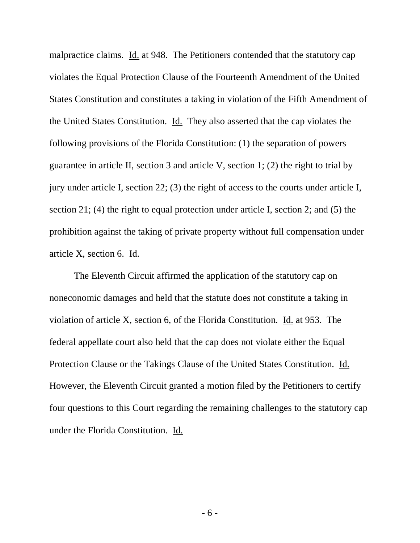malpractice claims. Id. at 948. The Petitioners contended that the statutory cap violates the Equal Protection Clause of the Fourteenth Amendment of the United States Constitution and constitutes a taking in violation of the Fifth Amendment of the United States Constitution. Id. They also asserted that the cap violates the following provisions of the Florida Constitution: (1) the separation of powers guarantee in article II, section 3 and article V, section 1; (2) the right to trial by jury under article I, section 22; (3) the right of access to the courts under article I, section 21; (4) the right to equal protection under article I, section 2; and (5) the prohibition against the taking of private property without full compensation under article X, section 6. Id.

The Eleventh Circuit affirmed the application of the statutory cap on noneconomic damages and held that the statute does not constitute a taking in violation of article X, section 6, of the Florida Constitution. Id. at 953. The federal appellate court also held that the cap does not violate either the Equal Protection Clause or the Takings Clause of the United States Constitution. Id. However, the Eleventh Circuit granted a motion filed by the Petitioners to certify four questions to this Court regarding the remaining challenges to the statutory cap under the Florida Constitution. Id.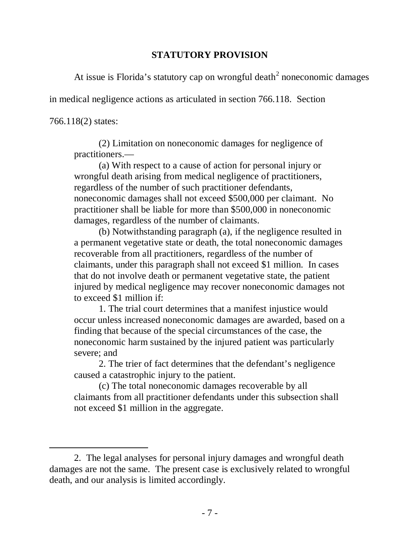# **STATUTORY PROVISION**

At issue is Florida's statutory cap on wrongful death<sup>[2](#page-6-0)</sup> noneconomic damages

in medical negligence actions as articulated in section 766.118. Section

766.118(2) states:

 $\overline{a}$ 

(2) Limitation on noneconomic damages for negligence of practitioners.—

(a) With respect to a cause of action for personal injury or wrongful death arising from medical negligence of practitioners, regardless of the number of such practitioner defendants, noneconomic damages shall not exceed \$500,000 per claimant. No practitioner shall be liable for more than \$500,000 in noneconomic damages, regardless of the number of claimants.

(b) Notwithstanding paragraph (a), if the negligence resulted in a permanent vegetative state or death, the total noneconomic damages recoverable from all practitioners, regardless of the number of claimants, under this paragraph shall not exceed \$1 million. In cases that do not involve death or permanent vegetative state, the patient injured by medical negligence may recover noneconomic damages not to exceed \$1 million if:

1. The trial court determines that a manifest injustice would occur unless increased noneconomic damages are awarded, based on a finding that because of the special circumstances of the case, the noneconomic harm sustained by the injured patient was particularly severe; and

2. The trier of fact determines that the defendant's negligence caused a catastrophic injury to the patient.

(c) The total noneconomic damages recoverable by all claimants from all practitioner defendants under this subsection shall not exceed \$1 million in the aggregate.

<span id="page-6-0"></span><sup>2.</sup> The legal analyses for personal injury damages and wrongful death damages are not the same. The present case is exclusively related to wrongful death, and our analysis is limited accordingly.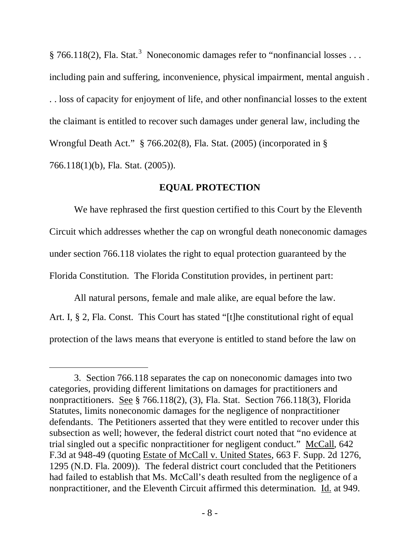§ 766.118(2), Fla. Stat.<sup>[3](#page-7-0)</sup> Noneconomic damages refer to "nonfinancial losses ... including pain and suffering, inconvenience, physical impairment, mental anguish . . . loss of capacity for enjoyment of life, and other nonfinancial losses to the extent the claimant is entitled to recover such damages under general law, including the Wrongful Death Act." § 766.202(8), Fla. Stat. (2005) (incorporated in § 766.118(1)(b), Fla. Stat. (2005)).

## **EQUAL PROTECTION**

We have rephrased the first question certified to this Court by the Eleventh Circuit which addresses whether the cap on wrongful death noneconomic damages under section 766.118 violates the right to equal protection guaranteed by the Florida Constitution. The Florida Constitution provides, in pertinent part:

All natural persons, female and male alike, are equal before the law. Art. I, § 2, Fla. Const. This Court has stated "[t]he constitutional right of equal protection of the laws means that everyone is entitled to stand before the law on

 $\overline{a}$ 

<span id="page-7-0"></span><sup>3.</sup> Section 766.118 separates the cap on noneconomic damages into two categories, providing different limitations on damages for practitioners and nonpractitioners. See § 766.118(2), (3), Fla. Stat. Section 766.118(3), Florida Statutes, limits noneconomic damages for the negligence of nonpractitioner defendants. The Petitioners asserted that they were entitled to recover under this subsection as well; however, the federal district court noted that "no evidence at trial singled out a specific nonpractitioner for negligent conduct." McCall, 642 F.3d at 948-49 (quoting Estate of McCall v. United States, 663 F. Supp. 2d 1276, 1295 (N.D. Fla. 2009)). The federal district court concluded that the Petitioners had failed to establish that Ms. McCall's death resulted from the negligence of a nonpractitioner, and the Eleventh Circuit affirmed this determination. Id. at 949.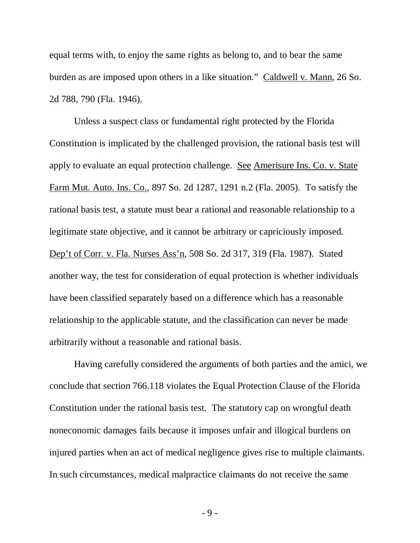equal terms with, to enjoy the same rights as belong to, and to bear the same burden as are imposed upon others in a like situation." Caldwell v. Mann, 26 So. 2d 788, 790 (Fla. 1946).

Unless a suspect class or fundamental right protected by the Florida Constitution is implicated by the challenged provision, the rational basis test will apply to evaluate an equal protection challenge. See Amerisure Ins. Co. v. State Farm Mut. Auto. Ins. Co., 897 So. 2d 1287, 1291 n.2 (Fla. 2005). To satisfy the rational basis test, a statute must bear a rational and reasonable relationship to a legitimate state objective, and it cannot be arbitrary or capriciously imposed. Dep't of Corr. v. Fla. Nurses Ass'n, 508 So. 2d 317, 319 (Fla. 1987). Stated another way, the test for consideration of equal protection is whether individuals have been classified separately based on a difference which has a reasonable relationship to the applicable statute, and the classification can never be made arbitrarily without a reasonable and rational basis.

Having carefully considered the arguments of both parties and the amici, we conclude that section 766.118 violates the Equal Protection Clause of the Florida Constitution under the rational basis test. The statutory cap on wrongful death noneconomic damages fails because it imposes unfair and illogical burdens on injured parties when an act of medical negligence gives rise to multiple claimants. In such circumstances, medical malpractice claimants do not receive the same

- 9 -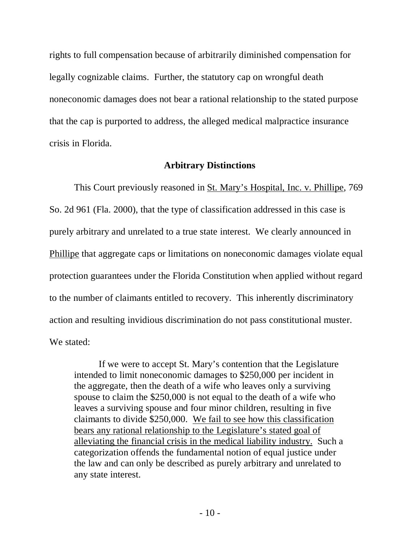rights to full compensation because of arbitrarily diminished compensation for legally cognizable claims. Further, the statutory cap on wrongful death noneconomic damages does not bear a rational relationship to the stated purpose that the cap is purported to address, the alleged medical malpractice insurance crisis in Florida.

#### **Arbitrary Distinctions**

This Court previously reasoned in St. Mary's Hospital, Inc. v. Phillipe, 769 So. 2d 961 (Fla. 2000), that the type of classification addressed in this case is purely arbitrary and unrelated to a true state interest. We clearly announced in Phillipe that aggregate caps or limitations on noneconomic damages violate equal protection guarantees under the Florida Constitution when applied without regard to the number of claimants entitled to recovery. This inherently discriminatory action and resulting invidious discrimination do not pass constitutional muster. We stated:

If we were to accept St. Mary's contention that the Legislature intended to limit noneconomic damages to \$250,000 per incident in the aggregate, then the death of a wife who leaves only a surviving spouse to claim the \$250,000 is not equal to the death of a wife who leaves a surviving spouse and four minor children, resulting in five claimants to divide \$250,000. We fail to see how this classification bears any rational relationship to the Legislature's stated goal of alleviating the financial crisis in the medical liability industry. Such a categorization offends the fundamental notion of equal justice under the law and can only be described as purely arbitrary and unrelated to any state interest.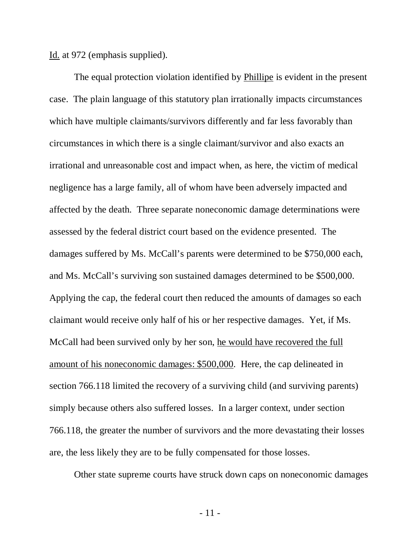Id. at 972 (emphasis supplied).

The equal protection violation identified by Phillipe is evident in the present case. The plain language of this statutory plan irrationally impacts circumstances which have multiple claimants/survivors differently and far less favorably than circumstances in which there is a single claimant/survivor and also exacts an irrational and unreasonable cost and impact when, as here, the victim of medical negligence has a large family, all of whom have been adversely impacted and affected by the death. Three separate noneconomic damage determinations were assessed by the federal district court based on the evidence presented. The damages suffered by Ms. McCall's parents were determined to be \$750,000 each, and Ms. McCall's surviving son sustained damages determined to be \$500,000. Applying the cap, the federal court then reduced the amounts of damages so each claimant would receive only half of his or her respective damages. Yet, if Ms. McCall had been survived only by her son, he would have recovered the full amount of his noneconomic damages: \$500,000. Here, the cap delineated in section 766.118 limited the recovery of a surviving child (and surviving parents) simply because others also suffered losses. In a larger context, under section 766.118, the greater the number of survivors and the more devastating their losses are, the less likely they are to be fully compensated for those losses.

Other state supreme courts have struck down caps on noneconomic damages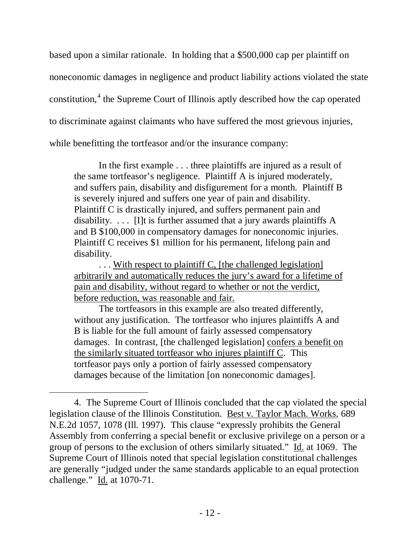based upon a similar rationale. In holding that a \$500,000 cap per plaintiff on noneconomic damages in negligence and product liability actions violated the state constitution,<sup>[4](#page-11-0)</sup> the Supreme Court of Illinois aptly described how the cap operated to discriminate against claimants who have suffered the most grievous injuries, while benefitting the tortfeasor and/or the insurance company:

In the first example . . . three plaintiffs are injured as a result of the same tortfeasor's negligence. Plaintiff A is injured moderately, and suffers pain, disability and disfigurement for a month. Plaintiff B is severely injured and suffers one year of pain and disability. Plaintiff C is drastically injured, and suffers permanent pain and disability.  $\ldots$  [I]t is further assumed that a jury awards plaintiffs A and B \$100,000 in compensatory damages for noneconomic injuries. Plaintiff C receives \$1 million for his permanent, lifelong pain and disability.

... With respect to plaintiff C, [the challenged legislation] arbitrarily and automatically reduces the jury's award for a lifetime of pain and disability, without regard to whether or not the verdict, before reduction, was reasonable and fair.

The tortfeasors in this example are also treated differently, without any justification. The tortfeasor who injures plaintiffs A and B is liable for the full amount of fairly assessed compensatory damages. In contrast, [the challenged legislation] confers a benefit on the similarly situated tortfeasor who injures plaintiff C . This tortfeasor pays only a portion of fairly assessed compensatory damages because of the limitation [on noneconomic damages].

 $\overline{a}$ 

<span id="page-11-0"></span><sup>4.</sup> The Supreme Court of Illinois concluded that the cap violated the special legislation clause of the Illinois Constitution. Best v. Taylor Mach. Works, 689 N.E.2d 1057, 1078 (Ill. 1997). This clause "expressly prohibits the General Assembly from conferring a special benefit or exclusive privilege on a person or a group of persons to the exclusion of others similarly situated." Id. at 1069. The Supreme Court of Illinois noted that special legislation constitutional challenges are generally "judged under the same standards applicable to an equal protection challenge." Id. at 1070-71.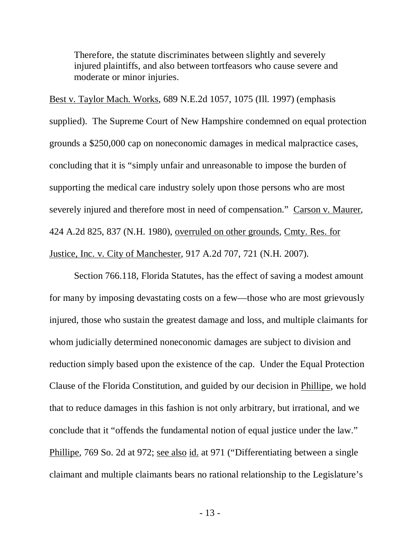Therefore, the statute discriminates between slightly and severely injured plaintiffs, and also between tortfeasors who cause severe and moderate or minor injuries.

Best v. Taylor Mach. Works, 689 N.E.2d 1057, 1075 (Ill. 1997) (emphasis supplied). The Supreme Court of New Hampshire condemned on equal protection grounds a \$250,000 cap on noneconomic damages in medical malpractice cases, concluding that it is "simply unfair and unreasonable to impose the burden of supporting the medical care industry solely upon those persons who are most severely injured and therefore most in need of compensation." Carson v. Maurer, 424 A.2d 825, 837 (N.H. 1980), overruled on other grounds, Cmty. Res. for Justice, Inc. v. City of Manchester, 917 A.2d 707, 721 (N.H. 2007).

Section 766.118, Florida Statutes, has the effect of saving a modest amount for many by imposing devastating costs on a few—those who are most grievously injured, those who sustain the greatest damage and loss, and multiple claimants for whom judicially determined noneconomic damages are subject to division and reduction simply based upon the existence of the cap. Under the Equal Protection Clause of the Florida Constitution, and guided by our decision in Phillipe, we hold that to reduce damages in this fashion is not only arbitrary, but irrational, and we conclude that it "offends the fundamental notion of equal justice under the law." Phillipe, 769 So. 2d at 972; see also id. at 971 ("Differentiating between a single claimant and multiple claimants bears no rational relationship to the Legislature's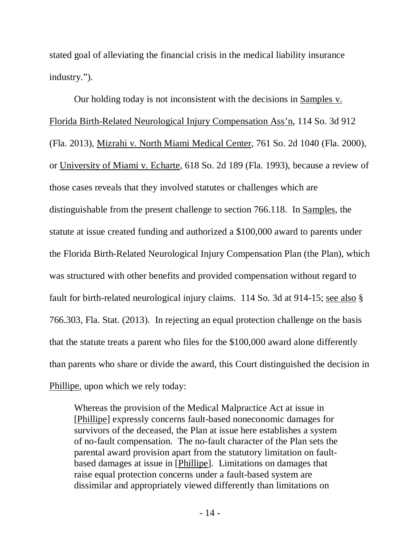stated goal of alleviating the financial crisis in the medical liability insurance industry.").

Our holding today is not inconsistent with the decisions in Samples v. Florida Birth-Related Neurological Injury Compensation Ass'n, 114 So. 3d 912 (Fla. 2013), Mizrahi v. North Miami Medical Center, 761 So. 2d 1040 (Fla. 2000), or University of Miami v. Echarte, 618 So. 2d 189 (Fla. 1993), because a review of those cases reveals that they involved statutes or challenges which are distinguishable from the present challenge to section 766.118. In Samples, the statute at issue created funding and authorized a \$100,000 award to parents under the Florida Birth-Related Neurological Injury Compensation Plan (the Plan), which was structured with other benefits and provided compensation without regard to fault for birth-related neurological injury claims. 114 So. 3d at 914-15; see also § 766.303, Fla. Stat. (2013). In rejecting an equal protection challenge on the basis that the statute treats a parent who files for the \$100,000 award alone differently than parents who share or divide the award, this Court distinguished the decision in Phillipe, upon which we rely today:

Whereas the provision of the Medical Malpractice Act at issue in [Phillipe] expressly concerns fault-based noneconomic damages for survivors of the deceased, the Plan at issue here establishes a system of no-fault compensation. The no-fault character of the Plan sets the parental award provision apart from the statutory limitation on faultbased damages at issue in [Phillipe]. Limitations on damages that raise equal protection concerns under a fault-based system are dissimilar and appropriately viewed differently than limitations on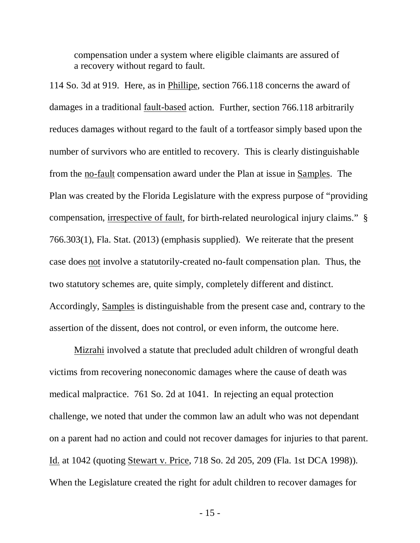compensation under a system where eligible claimants are assured of a recovery without regard to fault.

114 So. 3d at 919. Here, as in Phillipe, section 766.118 concerns the award of damages in a traditional fault-based action. Further, section 766.118 arbitrarily reduces damages without regard to the fault of a tortfeasor simply based upon the number of survivors who are entitled to recovery. This is clearly distinguishable from the no-fault compensation award under the Plan at issue in Samples. The Plan was created by the Florida Legislature with the express purpose of "providing compensation, irrespective of fault, for birth-related neurological injury claims." § 766.303(1), Fla. Stat. (2013) (emphasis supplied). We reiterate that the present case does not involve a statutorily-created no-fault compensation plan. Thus, the two statutory schemes are, quite simply, completely different and distinct. Accordingly, Samples is distinguishable from the present case and, contrary to the assertion of the dissent, does not control, or even inform, the outcome here.

Mizrahi involved a statute that precluded adult children of wrongful death victims from recovering noneconomic damages where the cause of death was medical malpractice. 761 So. 2d at 1041. In rejecting an equal protection challenge, we noted that under the common law an adult who was not dependant on a parent had no action and could not recover damages for injuries to that parent. Id. at 1042 (quoting Stewart v. Price, 718 So. 2d 205, 209 (Fla. 1st DCA 1998)). When the Legislature created the right for adult children to recover damages for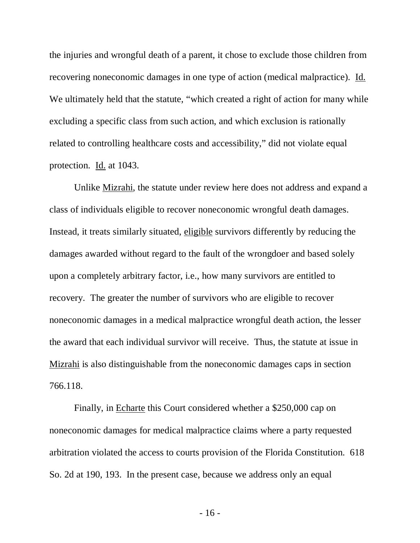the injuries and wrongful death of a parent, it chose to exclude those children from recovering noneconomic damages in one type of action (medical malpractice). Id. We ultimately held that the statute, "which created a right of action for many while excluding a specific class from such action, and which exclusion is rationally related to controlling healthcare costs and accessibility," did not violate equal protection. Id. at 1043.

Unlike Mizrahi, the statute under review here does not address and expand a class of individuals eligible to recover noneconomic wrongful death damages. Instead, it treats similarly situated, eligible survivors differently by reducing the damages awarded without regard to the fault of the wrongdoer and based solely upon a completely arbitrary factor, i.e., how many survivors are entitled to recovery. The greater the number of survivors who are eligible to recover noneconomic damages in a medical malpractice wrongful death action, the lesser the award that each individual survivor will receive. Thus, the statute at issue in Mizrahi is also distinguishable from the noneconomic damages caps in section 766.118.

Finally, in Echarte this Court considered whether a \$250,000 cap on noneconomic damages for medical malpractice claims where a party requested arbitration violated the access to courts provision of the Florida Constitution. 618 So. 2d at 190, 193. In the present case, because we address only an equal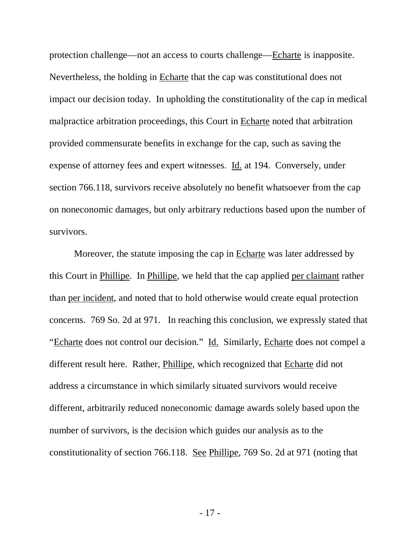protection challenge—not an access to courts challenge—Echarte is inapposite. Nevertheless, the holding in Echarte that the cap was constitutional does not impact our decision today. In upholding the constitutionality of the cap in medical malpractice arbitration proceedings, this Court in Echarte noted that arbitration provided commensurate benefits in exchange for the cap, such as saving the expense of attorney fees and expert witnesses. Id. at 194. Conversely, under section 766.118, survivors receive absolutely no benefit whatsoever from the cap on noneconomic damages, but only arbitrary reductions based upon the number of survivors.

Moreover, the statute imposing the cap in Echarte was later addressed by this Court in Phillipe. In Phillipe, we held that the cap applied per claimant rather than per incident, and noted that to hold otherwise would create equal protection concerns. 769 So. 2d at 971. In reaching this conclusion, we expressly stated that "Echarte does not control our decision." Id. Similarly, Echarte does not compel a different result here. Rather, Phillipe, which recognized that Echarte did not address a circumstance in which similarly situated survivors would receive different, arbitrarily reduced noneconomic damage awards solely based upon the number of survivors, is the decision which guides our analysis as to the constitutionality of section 766.118. See Phillipe, 769 So. 2d at 971 (noting that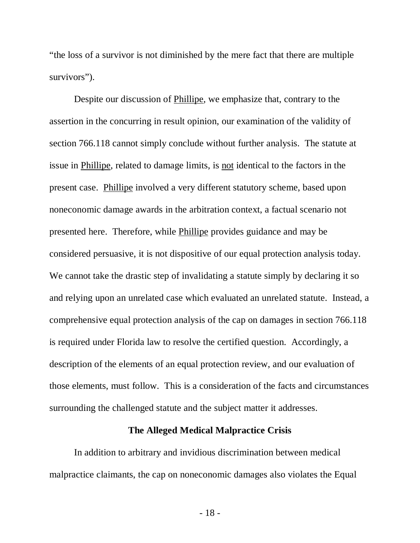"the loss of a survivor is not diminished by the mere fact that there are multiple survivors").

Despite our discussion of Phillipe, we emphasize that, contrary to the assertion in the concurring in result opinion, our examination of the validity of section 766.118 cannot simply conclude without further analysis. The statute at issue in Phillipe, related to damage limits, is not identical to the factors in the present case. Phillipe involved a very different statutory scheme, based upon noneconomic damage awards in the arbitration context, a factual scenario not presented here. Therefore, while Phillipe provides guidance and may be considered persuasive, it is not dispositive of our equal protection analysis today. We cannot take the drastic step of invalidating a statute simply by declaring it so and relying upon an unrelated case which evaluated an unrelated statute. Instead, a comprehensive equal protection analysis of the cap on damages in section 766.118 is required under Florida law to resolve the certified question. Accordingly, a description of the elements of an equal protection review, and our evaluation of those elements, must follow. This is a consideration of the facts and circumstances surrounding the challenged statute and the subject matter it addresses.

# **The Alleged Medical Malpractice Crisis**

In addition to arbitrary and invidious discrimination between medical malpractice claimants, the cap on noneconomic damages also violates the Equal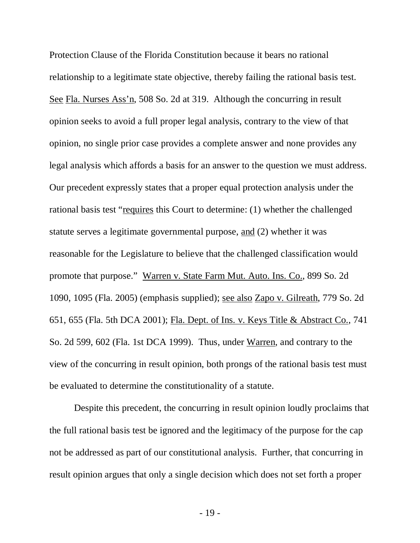Protection Clause of the Florida Constitution because it bears no rational relationship to a legitimate state objective, thereby failing the rational basis test. See Fla. Nurses Ass'n, 508 So. 2d at 319. Although the concurring in result opinion seeks to avoid a full proper legal analysis, contrary to the view of that opinion, no single prior case provides a complete answer and none provides any legal analysis which affords a basis for an answer to the question we must address. Our precedent expressly states that a proper equal protection analysis under the rational basis test "requires this Court to determine: (1) whether the challenged statute serves a legitimate governmental purpose, and (2) whether it was reasonable for the Legislature to believe that the challenged classification would promote that purpose." Warren v. State Farm Mut. Auto. Ins. Co., 899 So. 2d 1090, 1095 (Fla. 2005) (emphasis supplied); see also Zapo v. Gilreath, 779 So. 2d 651, 655 (Fla. 5th DCA 2001); Fla. Dept. of Ins. v. Keys Title & Abstract Co., 741 So. 2d 599, 602 (Fla. 1st DCA 1999). Thus, under Warren, and contrary to the view of the concurring in result opinion, both prongs of the rational basis test must be evaluated to determine the constitutionality of a statute.

Despite this precedent, the concurring in result opinion loudly proclaims that the full rational basis test be ignored and the legitimacy of the purpose for the cap not be addressed as part of our constitutional analysis. Further, that concurring in result opinion argues that only a single decision which does not set forth a proper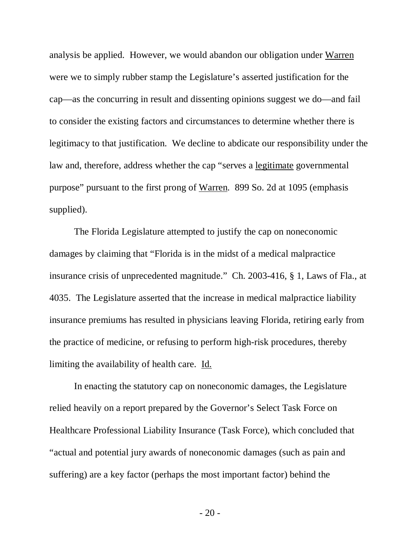analysis be applied. However, we would abandon our obligation under Warren were we to simply rubber stamp the Legislature's asserted justification for the cap—as the concurring in result and dissenting opinions suggest we do—and fail to consider the existing factors and circumstances to determine whether there is legitimacy to that justification. We decline to abdicate our responsibility under the law and, therefore, address whether the cap "serves a legitimate governmental purpose" pursuant to the first prong of Warren. 899 So. 2d at 1095 (emphasis supplied).

The Florida Legislature attempted to justify the cap on noneconomic damages by claiming that "Florida is in the midst of a medical malpractice insurance crisis of unprecedented magnitude." Ch. 2003-416, § 1, Laws of Fla., at 4035. The Legislature asserted that the increase in medical malpractice liability insurance premiums has resulted in physicians leaving Florida, retiring early from the practice of medicine, or refusing to perform high-risk procedures, thereby limiting the availability of health care. Id.

In enacting the statutory cap on noneconomic damages, the Legislature relied heavily on a report prepared by the Governor's Select Task Force on Healthcare Professional Liability Insurance (Task Force), which concluded that "actual and potential jury awards of noneconomic damages (such as pain and suffering) are a key factor (perhaps the most important factor) behind the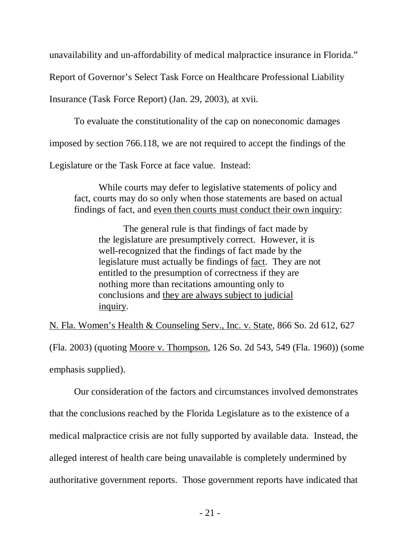unavailability and un-affordability of medical malpractice insurance in Florida."

Report of Governor's Select Task Force on Healthcare Professional Liability

Insurance (Task Force Report) (Jan. 29, 2003), at xvii.

To evaluate the constitutionality of the cap on noneconomic damages

imposed by section 766.118, we are not required to accept the findings of the

Legislature or the Task Force at face value. Instead:

While courts may defer to legislative statements of policy and fact, courts may do so only when those statements are based on actual findings of fact, and even then courts must conduct their own inquiry:

The general rule is that findings of fact made by the legislature are presumptively correct. However, it is well-recognized that the findings of fact made by the legislature must actually be findings of fact. They are not entitled to the presumption of correctness if they are nothing more than recitations amounting only to conclusions and they are always subject to judicial inquiry.

N. Fla. Women's Health & Counseling Serv., Inc. v. State, 866 So. 2d 612, 627

(Fla. 2003) (quoting Moore v. Thompson, 126 So. 2d 543, 549 (Fla. 1960)) (some emphasis supplied).

Our consideration of the factors and circumstances involved demonstrates that the conclusions reached by the Florida Legislature as to the existence of a medical malpractice crisis are not fully supported by available data. Instead, the alleged interest of health care being unavailable is completely undermined by authoritative government reports. Those government reports have indicated that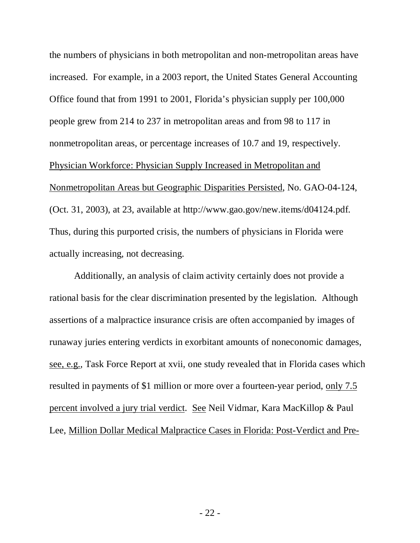the numbers of physicians in both metropolitan and non-metropolitan areas have increased. For example, in a 2003 report, the United States General Accounting Office found that from 1991 to 2001, Florida's physician supply per 100,000 people grew from 214 to 237 in metropolitan areas and from 98 to 117 in nonmetropolitan areas, or percentage increases of 10.7 and 19, respectively. Physician Workforce: Physician Supply Increased in Metropolitan and Nonmetropolitan Areas but Geographic Disparities Persisted, No. GAO-04-124, (Oct. 31, 2003), at 23, available at http://www.gao.gov/new.items/d04124.pdf. Thus, during this purported crisis, the numbers of physicians in Florida were actually increasing, not decreasing.

Additionally, an analysis of claim activity certainly does not provide a rational basis for the clear discrimination presented by the legislation. Although assertions of a malpractice insurance crisis are often accompanied by images of runaway juries entering verdicts in exorbitant amounts of noneconomic damages, see, e.g., Task Force Report at xvii, one study revealed that in Florida cases which resulted in payments of \$1 million or more over a fourteen-year period, only 7.5 percent involved a jury trial verdict. See Neil Vidmar, Kara MacKillop & Paul Lee, Million Dollar Medical Malpractice Cases in Florida: Post-Verdict and Pre-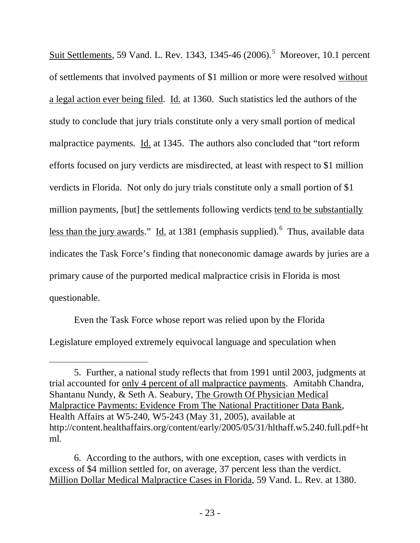Suit Settlements, [5](#page-22-0)9 Vand. L. Rev. 1343, 1345-46 (2006).<sup>5</sup> Moreover, 10.1 percent of settlements that involved payments of \$1 million or more were resolved without a legal action ever being filed. Id. at 1360. Such statistics led the authors of the study to conclude that jury trials constitute only a very small portion of medical malpractice payments. Id. at 1345. The authors also concluded that "tort reform efforts focused on jury verdicts are misdirected, at least with respect to \$1 million verdicts in Florida. Not only do jury trials constitute only a small portion of \$1 million payments, [but] the settlements following verdicts tend to be substantially less than the jury awards." Id. at 1381 (emphasis supplied). <sup>[6](#page-22-1)</sup> Thus, available data indicates the Task Force's finding that noneconomic damage awards by juries are a primary cause of the purported medical malpractice crisis in Florida is most questionable.

Even the Task Force whose report was relied upon by the Florida Legislature employed extremely equivocal language and speculation when

 $\overline{a}$ 

<span id="page-22-0"></span><sup>5.</sup> Further, a national study reflects that from 1991 until 2003, judgments at trial accounted for only 4 percent of all malpractice payments. Amitabh Chandra, Shantanu Nundy, & Seth A. Seabury, The Growth Of Physician Medical Malpractice Payments: Evidence From The National Practitioner Data Bank, Health Affairs at W5-240, W5-243 (May 31, 2005), available at http://content.healthaffairs.org/content/early/2005/05/31/hlthaff.w5.240.full.pdf+ht ml.

<span id="page-22-1"></span><sup>6.</sup> According to the authors, with one exception, cases with verdicts in excess of \$4 million settled for, on average, 37 percent less than the verdict. Million Dollar Medical Malpractice Cases in Florida, 59 Vand. L. Rev. at 1380.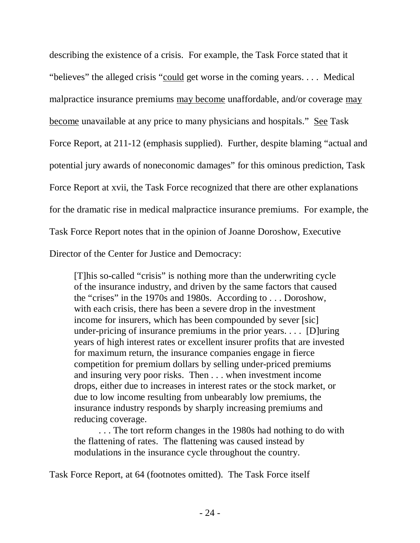describing the existence of a crisis. For example, the Task Force stated that it "believes" the alleged crisis "could get worse in the coming years. . . . Medical malpractice insurance premiums may become unaffordable, and/or coverage may become unavailable at any price to many physicians and hospitals." See Task Force Report, at 211-12 (emphasis supplied). Further, despite blaming "actual and potential jury awards of noneconomic damages" for this ominous prediction, Task Force Report at xvii, the Task Force recognized that there are other explanations for the dramatic rise in medical malpractice insurance premiums. For example, the Task Force Report notes that in the opinion of Joanne Doroshow, Executive Director of the Center for Justice and Democracy:

[T]his so-called "crisis" is nothing more than the underwriting cycle of the insurance industry, and driven by the same factors that caused the "crises" in the 1970s and 1980s. According to . . . Doroshow, with each crisis, there has been a severe drop in the investment income for insurers, which has been compounded by sever [sic] under-pricing of insurance premiums in the prior years. . . . [D]uring years of high interest rates or excellent insurer profits that are invested for maximum return, the insurance companies engage in fierce competition for premium dollars by selling under-priced premiums and insuring very poor risks. Then . . . when investment income drops, either due to increases in interest rates or the stock market, or due to low income resulting from unbearably low premiums, the insurance industry responds by sharply increasing premiums and reducing coverage.

. . . The tort reform changes in the 1980s had nothing to do with the flattening of rates. The flattening was caused instead by modulations in the insurance cycle throughout the country.

Task Force Report, at 64 (footnotes omitted). The Task Force itself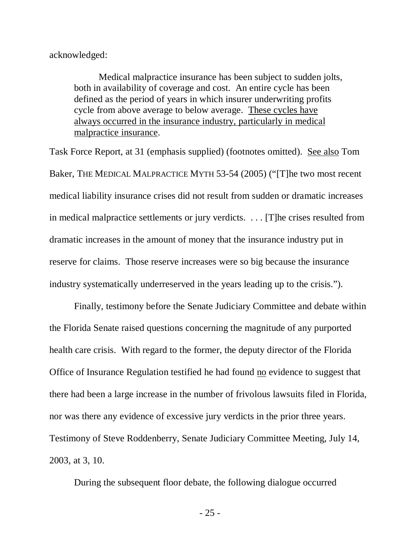acknowledged:

Medical malpractice insurance has been subject to sudden jolts, both in availability of coverage and cost. An entire cycle has been defined as the period of years in which insurer underwriting profits cycle from above average to below average. These cycles have always occurred in the insurance industry, particularly in medical malpractice insurance.

Task Force Report, at 31 (emphasis supplied) (footnotes omitted). See also Tom Baker, THE MEDICAL MALPRACTICE MYTH 53-54 (2005) ("[T]he two most recent medical liability insurance crises did not result from sudden or dramatic increases in medical malpractice settlements or jury verdicts. . . . [T]he crises resulted from dramatic increases in the amount of money that the insurance industry put in reserve for claims. Those reserve increases were so big because the insurance industry systematically underreserved in the years leading up to the crisis.").

Finally, testimony before the Senate Judiciary Committee and debate within the Florida Senate raised questions concerning the magnitude of any purported health care crisis. With regard to the former, the deputy director of the Florida Office of Insurance Regulation testified he had found no evidence to suggest that there had been a large increase in the number of frivolous lawsuits filed in Florida, nor was there any evidence of excessive jury verdicts in the prior three years. Testimony of Steve Roddenberry, Senate Judiciary Committee Meeting, July 14, 2003, at 3, 10.

During the subsequent floor debate, the following dialogue occurred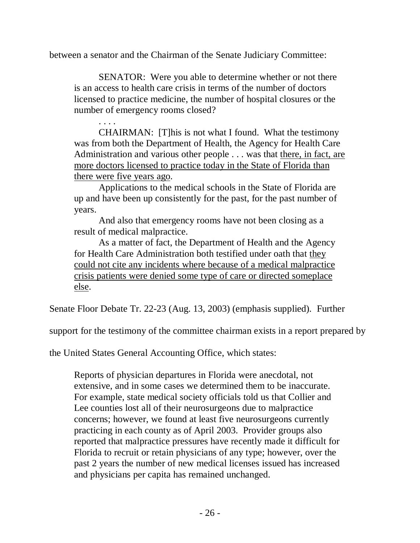between a senator and the Chairman of the Senate Judiciary Committee:

SENATOR: Were you able to determine whether or not there is an access to health care crisis in terms of the number of doctors licensed to practice medicine, the number of hospital closures or the number of emergency rooms closed?

. . . . CHAIRMAN: [T]his is not what I found. What the testimony was from both the Department of Health, the Agency for Health Care Administration and various other people . . . was that there, in fact, are more doctors licensed to practice today in the State of Florida than there were five years ago.

Applications to the medical schools in the State of Florida are up and have been up consistently for the past, for the past number of years.

And also that emergency rooms have not been closing as a result of medical malpractice.

As a matter of fact, the Department of Health and the Agency for Health Care Administration both testified under oath that they could not cite any incidents where because of a medical malpractice crisis patients were denied some type of care or directed someplace else.

Senate Floor Debate Tr. 22-23 (Aug. 13, 2003) (emphasis supplied). Further

support for the testimony of the committee chairman exists in a report prepared by

the United States General Accounting Office, which states:

Reports of physician departures in Florida were anecdotal, not extensive, and in some cases we determined them to be inaccurate. For example, state medical society officials told us that Collier and Lee counties lost all of their neurosurgeons due to malpractice concerns; however, we found at least five neurosurgeons currently practicing in each county as of April 2003. Provider groups also reported that malpractice pressures have recently made it difficult for Florida to recruit or retain physicians of any type; however, over the past 2 years the number of new medical licenses issued has increased and physicians per capita has remained unchanged.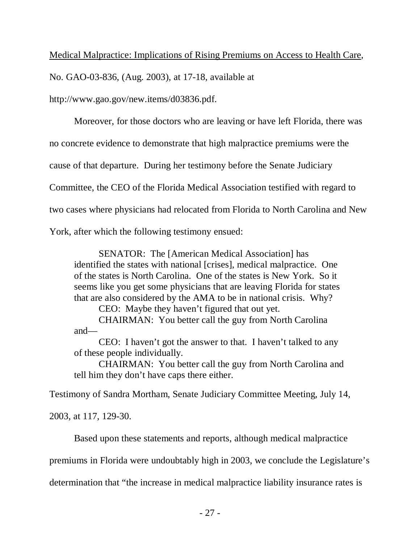## Medical Malpractice: Implications of Rising Premiums on Access to Health Care,

No. GAO-03-836, (Aug. 2003), at 17-18, available at

http://www.gao.gov/new.items/d03836.pdf.

Moreover, for those doctors who are leaving or have left Florida, there was no concrete evidence to demonstrate that high malpractice premiums were the cause of that departure. During her testimony before the Senate Judiciary Committee, the CEO of the Florida Medical Association testified with regard to two cases where physicians had relocated from Florida to North Carolina and New York, after which the following testimony ensued:

SENATOR: The [American Medical Association] has identified the states with national [crises], medical malpractice. One of the states is North Carolina. One of the states is New York. So it seems like you get some physicians that are leaving Florida for states that are also considered by the AMA to be in national crisis. Why?

CEO: Maybe they haven't figured that out yet.

CHAIRMAN: You better call the guy from North Carolina and—

CEO: I haven't got the answer to that. I haven't talked to any of these people individually.

CHAIRMAN: You better call the guy from North Carolina and tell him they don't have caps there either.

Testimony of Sandra Mortham, Senate Judiciary Committee Meeting, July 14,

2003, at 117, 129-30.

Based upon these statements and reports, although medical malpractice

premiums in Florida were undoubtably high in 2003, we conclude the Legislature's

determination that "the increase in medical malpractice liability insurance rates is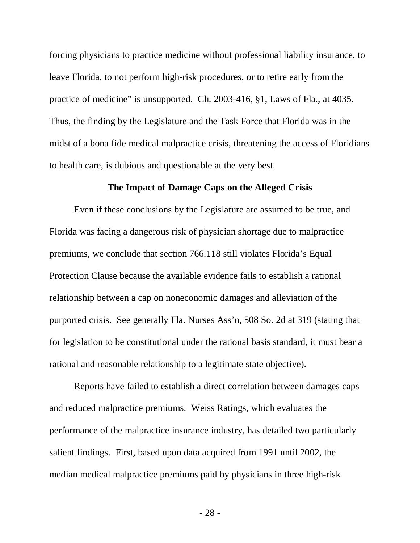forcing physicians to practice medicine without professional liability insurance, to leave Florida, to not perform high-risk procedures, or to retire early from the practice of medicine" is unsupported. Ch. 2003-416, §1, Laws of Fla., at 4035. Thus, the finding by the Legislature and the Task Force that Florida was in the midst of a bona fide medical malpractice crisis, threatening the access of Floridians to health care, is dubious and questionable at the very best.

#### **The Impact of Damage Caps on the Alleged Crisis**

Even if these conclusions by the Legislature are assumed to be true, and Florida was facing a dangerous risk of physician shortage due to malpractice premiums, we conclude that section 766.118 still violates Florida's Equal Protection Clause because the available evidence fails to establish a rational relationship between a cap on noneconomic damages and alleviation of the purported crisis. See generally Fla. Nurses Ass'n, 508 So. 2d at 319 (stating that for legislation to be constitutional under the rational basis standard, it must bear a rational and reasonable relationship to a legitimate state objective).

Reports have failed to establish a direct correlation between damages caps and reduced malpractice premiums. Weiss Ratings, which evaluates the performance of the malpractice insurance industry, has detailed two particularly salient findings. First, based upon data acquired from 1991 until 2002, the median medical malpractice premiums paid by physicians in three high-risk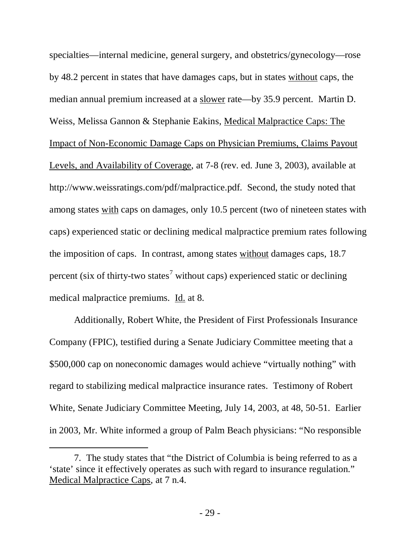specialties—internal medicine, general surgery, and obstetrics/gynecology—rose by 48.2 percent in states that have damages caps, but in states without caps, the median annual premium increased at a slower rate—by 35.9 percent. Martin D. Weiss, Melissa Gannon & Stephanie Eakins, Medical Malpractice Caps: The Impact of Non-Economic Damage Caps on Physician Premiums, Claims Payout Levels, and Availability of Coverage, at 7-8 (rev. ed. June 3, 2003), available at http://www.weissratings.com/pdf/malpractice.pdf. Second, the study noted that among states with caps on damages, only 10.5 percent (two of nineteen states with caps) experienced static or declining medical malpractice premium rates following the imposition of caps. In contrast, among states without damages caps, 18.7 percent (six of thirty-two states<sup>[7](#page-28-0)</sup> without caps) experienced static or declining medical malpractice premiums. Id. at 8.

Additionally, Robert White, the President of First Professionals Insurance Company (FPIC), testified during a Senate Judiciary Committee meeting that a \$500,000 cap on noneconomic damages would achieve "virtually nothing" with regard to stabilizing medical malpractice insurance rates. Testimony of Robert White, Senate Judiciary Committee Meeting, July 14, 2003, at 48, 50-51. Earlier in 2003, Mr. White informed a group of Palm Beach physicians: "No responsible

 $\overline{a}$ 

<span id="page-28-0"></span><sup>7.</sup> The study states that "the District of Columbia is being referred to as a 'state' since it effectively operates as such with regard to insurance regulation." Medical Malpractice Caps, at 7 n.4.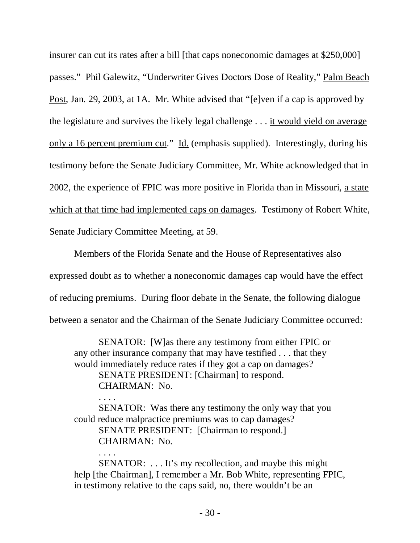insurer can cut its rates after a bill [that caps noneconomic damages at \$250,000] passes." Phil Galewitz, "Underwriter Gives Doctors Dose of Reality," Palm Beach Post, Jan. 29, 2003, at 1A. Mr. White advised that "[e]ven if a cap is approved by the legislature and survives the likely legal challenge . . . it would yield on average only a 16 percent premium cut." Id. (emphasis supplied). Interestingly, during his testimony before the Senate Judiciary Committee, Mr. White acknowledged that in 2002, the experience of FPIC was more positive in Florida than in Missouri, a state which at that time had implemented caps on damages. Testimony of Robert White, Senate Judiciary Committee Meeting, at 59.

Members of the Florida Senate and the House of Representatives also expressed doubt as to whether a noneconomic damages cap would have the effect of reducing premiums. During floor debate in the Senate, the following dialogue between a senator and the Chairman of the Senate Judiciary Committee occurred:

SENATOR: [W]as there any testimony from either FPIC or any other insurance company that may have testified . . . that they would immediately reduce rates if they got a cap on damages? SENATE PRESIDENT: [Chairman] to respond. CHAIRMAN: No.

. . . . SENATOR: Was there any testimony the only way that you could reduce malpractice premiums was to cap damages? SENATE PRESIDENT: [Chairman to respond.] CHAIRMAN: No.

. . . .

SENATOR: . . . It's my recollection, and maybe this might help [the Chairman], I remember a Mr. Bob White, representing FPIC, in testimony relative to the caps said, no, there wouldn't be an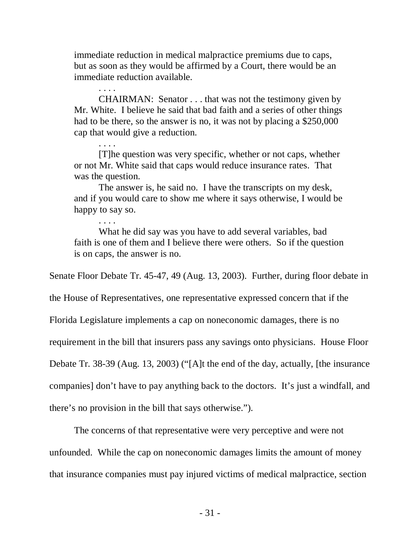immediate reduction in medical malpractice premiums due to caps, but as soon as they would be affirmed by a Court, there would be an immediate reduction available.

. . . . CHAIRMAN: Senator . . . that was not the testimony given by Mr. White. I believe he said that bad faith and a series of other things had to be there, so the answer is no, it was not by placing a \$250,000 cap that would give a reduction.

. . . . [T]he question was very specific, whether or not caps, whether or not Mr. White said that caps would reduce insurance rates. That was the question.

The answer is, he said no. I have the transcripts on my desk, and if you would care to show me where it says otherwise, I would be happy to say so.

What he did say was you have to add several variables, bad faith is one of them and I believe there were others. So if the question is on caps, the answer is no.

Senate Floor Debate Tr. 45-47, 49 (Aug. 13, 2003). Further, during floor debate in

the House of Representatives, one representative expressed concern that if the

Florida Legislature implements a cap on noneconomic damages, there is no

requirement in the bill that insurers pass any savings onto physicians. House Floor

Debate Tr. 38-39 (Aug. 13, 2003) ("[A]t the end of the day, actually, [the insurance

companies] don't have to pay anything back to the doctors. It's just a windfall, and

there's no provision in the bill that says otherwise.").

. . . .

The concerns of that representative were very perceptive and were not

unfounded. While the cap on noneconomic damages limits the amount of money that insurance companies must pay injured victims of medical malpractice, section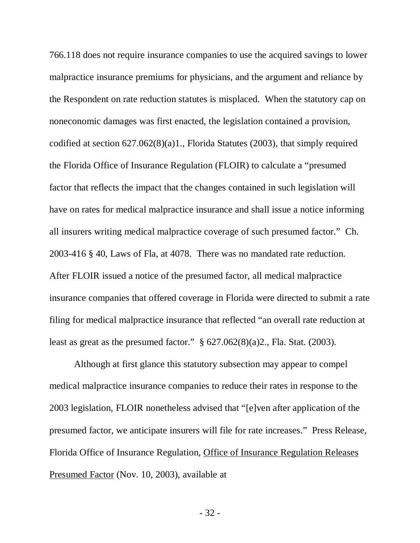766.118 does not require insurance companies to use the acquired savings to lower malpractice insurance premiums for physicians, and the argument and reliance by the Respondent on rate reduction statutes is misplaced. When the statutory cap on noneconomic damages was first enacted, the legislation contained a provision, codified at section 627.062(8)(a)1., Florida Statutes (2003), that simply required the Florida Office of Insurance Regulation (FLOIR) to calculate a "presumed factor that reflects the impact that the changes contained in such legislation will have on rates for medical malpractice insurance and shall issue a notice informing all insurers writing medical malpractice coverage of such presumed factor." Ch. 2003-416 § 40, Laws of Fla, at 4078. There was no mandated rate reduction. After FLOIR issued a notice of the presumed factor, all medical malpractice insurance companies that offered coverage in Florida were directed to submit a rate filing for medical malpractice insurance that reflected "an overall rate reduction at least as great as the presumed factor."  $\S$  627.062(8)(a)2., Fla. Stat. (2003).

Although at first glance this statutory subsection may appear to compel medical malpractice insurance companies to reduce their rates in response to the 2003 legislation, FLOIR nonetheless advised that "[e]ven after application of the presumed factor, we anticipate insurers will file for rate increases." Press Release, Florida Office of Insurance Regulation, Office of Insurance Regulation Releases Presumed Factor (Nov. 10, 2003), available at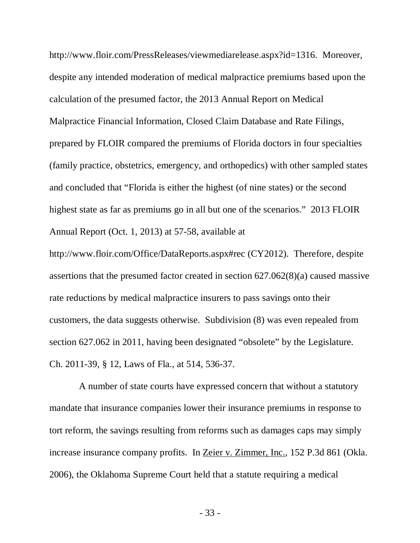http://www.floir.com/PressReleases/viewmediarelease.aspx?id=1316. Moreover, despite any intended moderation of medical malpractice premiums based upon the calculation of the presumed factor, the 2013 Annual Report on Medical Malpractice Financial Information, Closed Claim Database and Rate Filings, prepared by FLOIR compared the premiums of Florida doctors in four specialties (family practice, obstetrics, emergency, and orthopedics) with other sampled states and concluded that "Florida is either the highest (of nine states) or the second highest state as far as premiums go in all but one of the scenarios." 2013 FLOIR Annual Report (Oct. 1, 2013) at 57-58, available at

http://www.floir.com/Office/DataReports.aspx#rec (CY2012). Therefore, despite assertions that the presumed factor created in section 627.062(8)(a) caused massive rate reductions by medical malpractice insurers to pass savings onto their customers, the data suggests otherwise. Subdivision (8) was even repealed from section 627.062 in 2011, having been designated "obsolete" by the Legislature. Ch. 2011-39, § 12, Laws of Fla., at 514, 536-37.

 A number of state courts have expressed concern that without a statutory mandate that insurance companies lower their insurance premiums in response to tort reform, the savings resulting from reforms such as damages caps may simply increase insurance company profits. In <u>Zeier v. Zimmer, Inc.</u>, 152 P.3d 861 (Okla. 2006), the Oklahoma Supreme Court held that a statute requiring a medical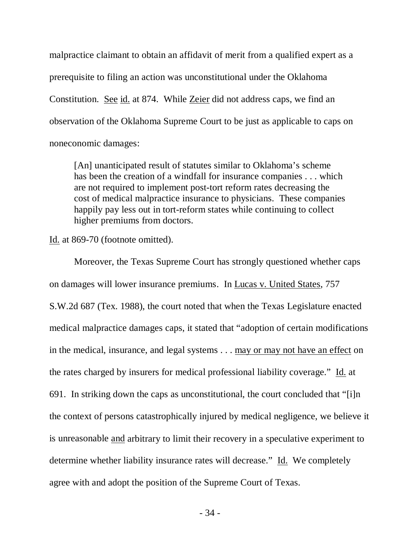malpractice claimant to obtain an affidavit of merit from a qualified expert as a prerequisite to filing an action was unconstitutional under the Oklahoma Constitution. See id. at 874. While Zeier did not address caps, we find an observation of the Oklahoma Supreme Court to be just as applicable to caps on noneconomic damages:

[An] unanticipated result of statutes similar to Oklahoma's scheme has been the creation of a windfall for insurance companies . . . which are not required to implement post-tort reform rates decreasing the cost of medical malpractice insurance to physicians. These companies happily pay less out in tort-reform states while continuing to collect higher premiums from doctors.

Id. at 869-70 (footnote omitted).

Moreover, the Texas Supreme Court has strongly questioned whether caps on damages will lower insurance premiums. In Lucas v. United States, 757 S.W.2d 687 (Tex. 1988), the court noted that when the Texas Legislature enacted medical malpractice damages caps, it stated that "adoption of certain modifications in the medical, insurance, and legal systems . . . may or may not have an effect on the rates charged by insurers for medical professional liability coverage." Id. at 691. In striking down the caps as unconstitutional, the court concluded that "[i]n the context of persons catastrophically injured by medical negligence, we believe it is unreasonable and arbitrary to limit their recovery in a speculative experiment to determine whether liability insurance rates will decrease." Id. We completely agree with and adopt the position of the Supreme Court of Texas.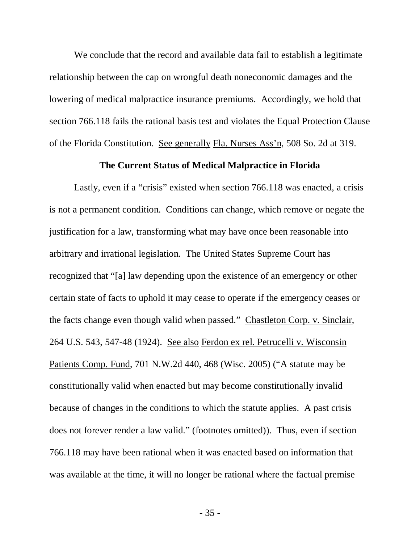We conclude that the record and available data fail to establish a legitimate relationship between the cap on wrongful death noneconomic damages and the lowering of medical malpractice insurance premiums. Accordingly, we hold that section 766.118 fails the rational basis test and violates the Equal Protection Clause of the Florida Constitution. See generally Fla. Nurses Ass'n, 508 So. 2d at 319.

#### **The Current Status of Medical Malpractice in Florida**

Lastly, even if a "crisis" existed when section 766.118 was enacted, a crisis is not a permanent condition. Conditions can change, which remove or negate the justification for a law, transforming what may have once been reasonable into arbitrary and irrational legislation. The United States Supreme Court has recognized that "[a] law depending upon the existence of an emergency or other certain state of facts to uphold it may cease to operate if the emergency ceases or the facts change even though valid when passed." Chastleton Corp. v. Sinclair, 264 U.S. 543, 547-48 (1924). See also Ferdon ex rel. Petrucelli v. Wisconsin Patients Comp. Fund, 701 N.W.2d 440, 468 (Wisc. 2005) ("A statute may be constitutionally valid when enacted but may become constitutionally invalid because of changes in the conditions to which the statute applies. A past crisis does not forever render a law valid." (footnotes omitted)). Thus, even if section 766.118 may have been rational when it was enacted based on information that was available at the time, it will no longer be rational where the factual premise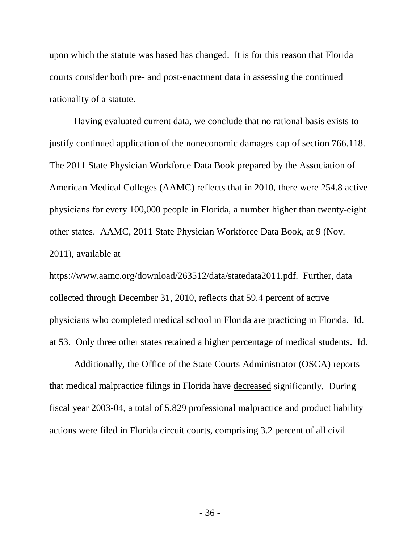upon which the statute was based has changed. It is for this reason that Florida courts consider both pre- and post-enactment data in assessing the continued rationality of a statute.

Having evaluated current data, we conclude that no rational basis exists to justify continued application of the noneconomic damages cap of section 766.118. The 2011 State Physician Workforce Data Book prepared by the Association of American Medical Colleges (AAMC) reflects that in 2010, there were 254.8 active physicians for every 100,000 people in Florida, a number higher than twenty-eight other states. AAMC, 2011 State Physician Workforce Data Book, at 9 (Nov. 2011), available at

https://www.aamc.org/download/263512/data/statedata2011.pdf. Further, data collected through December 31, 2010, reflects that 59.4 percent of active physicians who completed medical school in Florida are practicing in Florida. Id. at 53. Only three other states retained a higher percentage of medical students. Id.

Additionally, the Office of the State Courts Administrator (OSCA) reports that medical malpractice filings in Florida have decreased significantly. During fiscal year 2003-04, a total of 5,829 professional malpractice and product liability actions were filed in Florida circuit courts, comprising 3.2 percent of all civil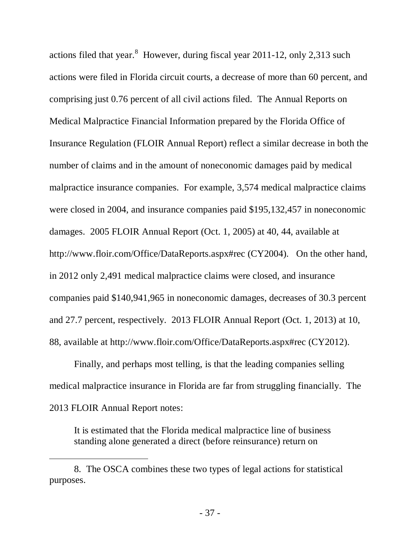actions filed that year. $8$  However, during fiscal year 2011-12, only 2,313 such actions were filed in Florida circuit courts, a decrease of more than 60 percent, and comprising just 0.76 percent of all civil actions filed. The Annual Reports on Medical Malpractice Financial Information prepared by the Florida Office of Insurance Regulation (FLOIR Annual Report) reflect a similar decrease in both the number of claims and in the amount of noneconomic damages paid by medical malpractice insurance companies. For example, 3,574 medical malpractice claims were closed in 2004, and insurance companies paid \$195,132,457 in noneconomic damages. 2005 FLOIR Annual Report (Oct. 1, 2005) at 40, 44, available at http://www.floir.com/Office/DataReports.aspx#rec (CY2004). On the other hand, in 2012 only 2,491 medical malpractice claims were closed, and insurance companies paid \$140,941,965 in noneconomic damages, decreases of 30.3 percent and 27.7 percent, respectively. 2013 FLOIR Annual Report (Oct. 1, 2013) at 10, 88, available at http://www.floir.com/Office/DataReports.aspx#rec (CY2012).

Finally, and perhaps most telling, is that the leading companies selling medical malpractice insurance in Florida are far from struggling financially. The 2013 FLOIR Annual Report notes:

It is estimated that the Florida medical malpractice line of business standing alone generated a direct (before reinsurance) return on

 $\overline{a}$ 

<span id="page-36-0"></span><sup>8.</sup> The OSCA combines these two types of legal actions for statistical purposes.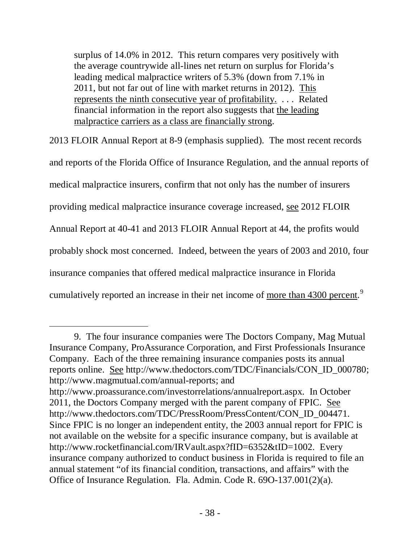surplus of 14.0% in 2012. This return compares very positively with the average countrywide all-lines net return on surplus for Florida's leading medical malpractice writers of 5.3% (down from 7.1% in 2011, but not far out of line with market returns in 2012). This represents the ninth consecutive year of profitability. . . . Related financial information in the report also suggests that the leading malpractice carriers as a class are financially strong .

2013 FLOIR Annual Report at 8-9 (emphasis supplied). The most recent records and reports of the Florida Office of Insurance Regulation, and the annual reports of medical malpractice insurers, confirm that not only has the number of insurers providing medical malpractice insurance coverage increased, see 2012 FLOIR Annual Report at 40-41 and 2013 FLOIR Annual Report at 44, the profits would probably shock most concerned. Indeed, between the years of 2003 and 2010, four insurance companies that offered medical malpractice insurance in Florida cumulatively reported an increase in their net income of <u>more than 4300 percent</u>.<sup>[9](#page-37-0)</sup>

 $\overline{a}$ 

<span id="page-37-0"></span><sup>9.</sup> The four insurance companies were The Doctors Company, Mag Mutual Insurance Company, ProAssurance Corporation, and First Professionals Insurance Company. Each of the three remaining insurance companies posts its annual reports online. See http://www.thedoctors.com/TDC/Financials/CON\_ID\_000780; http://www.magmutual.com/annual-reports; and

http://www.proassurance.com/investorrelations/annualreport.aspx. In October 2011, the Doctors Company merged with the parent company of FPIC. See http://www.thedoctors.com/TDC/PressRoom/PressContent/CON\_ID\_004471. Since FPIC is no longer an independent entity, the 2003 annual report for FPIC is not available on the website for a specific insurance company, but is available at http://www.rocketfinancial.com/IRVault.aspx?fID=6352&tID=1002. Every insurance company authorized to conduct business in Florida is required to file an annual statement "of its financial condition, transactions, and affairs" with the Office of Insurance Regulation. Fla. Admin. Code R. 69O-137.001(2)(a).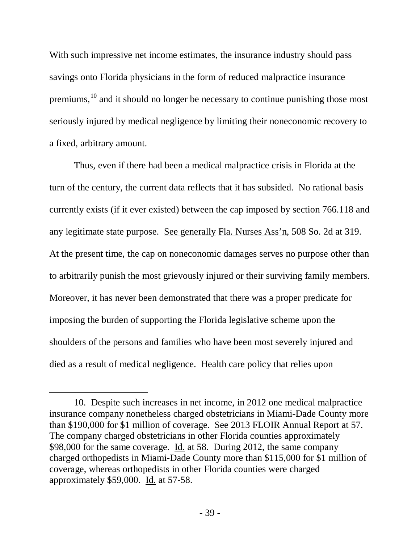With such impressive net income estimates, the insurance industry should pass savings onto Florida physicians in the form of reduced malpractice insurance premiums, <sup>[10](#page-38-0)</sup> and it should no longer be necessary to continue punishing those most seriously injured by medical negligence by limiting their noneconomic recovery to a fixed, arbitrary amount.

Thus, even if there had been a medical malpractice crisis in Florida at the turn of the century, the current data reflects that it has subsided. No rational basis currently exists (if it ever existed) between the cap imposed by section 766.118 and any legitimate state purpose. See generally Fla. Nurses Ass'n, 508 So. 2d at 319. At the present time, the cap on noneconomic damages serves no purpose other than to arbitrarily punish the most grievously injured or their surviving family members. Moreover, it has never been demonstrated that there was a proper predicate for imposing the burden of supporting the Florida legislative scheme upon the shoulders of the persons and families who have been most severely injured and died as a result of medical negligence. Health care policy that relies upon

 $\overline{a}$ 

<span id="page-38-0"></span><sup>10.</sup> Despite such increases in net income, in 2012 one medical malpractice insurance company nonetheless charged obstetricians in Miami-Dade County more than \$190,000 for \$1 million of coverage. See 2013 FLOIR Annual Report at 57. The company charged obstetricians in other Florida counties approximately \$98,000 for the same coverage. Id. at 58. During 2012, the same company charged orthopedists in Miami-Dade County more than \$115,000 for \$1 million of coverage, whereas orthopedists in other Florida counties were charged approximately \$59,000. Id. at 57-58.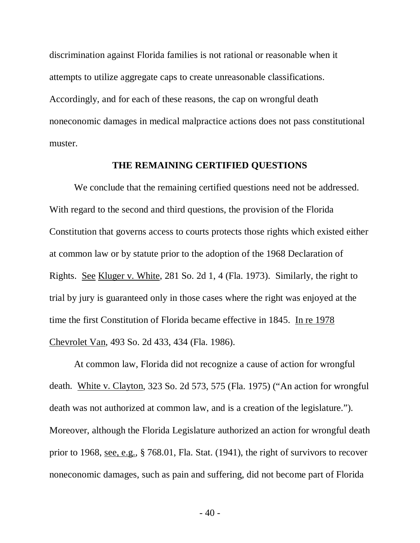discrimination against Florida families is not rational or reasonable when it attempts to utilize aggregate caps to create unreasonable classifications. Accordingly, and for each of these reasons, the cap on wrongful death noneconomic damages in medical malpractice actions does not pass constitutional muster.

#### **THE REMAINING CERTIFIED QUESTIONS**

We conclude that the remaining certified questions need not be addressed. With regard to the second and third questions, the provision of the Florida Constitution that governs access to courts protects those rights which existed either at common law or by statute prior to the adoption of the 1968 Declaration of Rights. See Kluger v. White, 281 So. 2d 1, 4 (Fla. 1973). Similarly, the right to trial by jury is guaranteed only in those cases where the right was enjoyed at the time the first Constitution of Florida became effective in 1845. In re 1978 Chevrolet Van, 493 So. 2d 433, 434 (Fla. 1986).

At common law, Florida did not recognize a cause of action for wrongful death. White v. Clayton, 323 So. 2d 573, 575 (Fla. 1975) ("An action for wrongful death was not authorized at common law, and is a creation of the legislature."). Moreover, although the Florida Legislature authorized an action for wrongful death prior to 1968, see, e.g., § 768.01, Fla. Stat. (1941), the right of survivors to recover noneconomic damages, such as pain and suffering, did not become part of Florida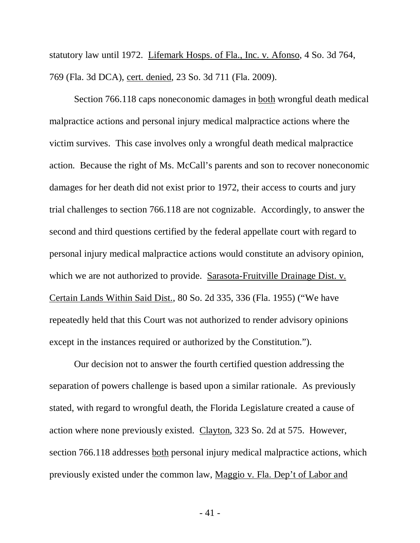statutory law until 1972. Lifemark Hosps. of Fla., Inc. v. Afonso, 4 So. 3d 764, 769 (Fla. 3d DCA), cert. denied, 23 So. 3d 711 (Fla. 2009).

Section 766.118 caps noneconomic damages in both wrongful death medical malpractice actions and personal injury medical malpractice actions where the victim survives. This case involves only a wrongful death medical malpractice action. Because the right of Ms. McCall's parents and son to recover noneconomic damages for her death did not exist prior to 1972, their access to courts and jury trial challenges to section 766.118 are not cognizable. Accordingly, to answer the second and third questions certified by the federal appellate court with regard to personal injury medical malpractice actions would constitute an advisory opinion, which we are not authorized to provide. Sarasota-Fruitville Drainage Dist. v. Certain Lands Within Said Dist., 80 So. 2d 335, 336 (Fla. 1955) ("We have repeatedly held that this Court was not authorized to render advisory opinions except in the instances required or authorized by the Constitution.").

Our decision not to answer the fourth certified question addressing the separation of powers challenge is based upon a similar rationale. As previously stated, with regard to wrongful death, the Florida Legislature created a cause of action where none previously existed. Clayton, 323 So. 2d at 575. However, section 766.118 addresses both personal injury medical malpractice actions, which previously existed under the common law, Maggio v. Fla. Dep't of Labor and

- 41 -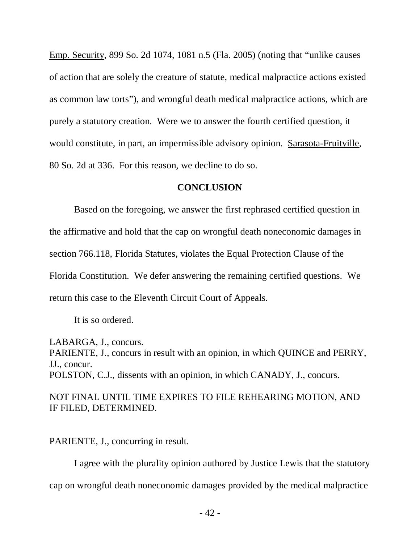Emp. Security, 899 So. 2d 1074, 1081 n.5 (Fla. 2005) (noting that "unlike causes of action that are solely the creature of statute, medical malpractice actions existed as common law torts"), and wrongful death medical malpractice actions, which are purely a statutory creation. Were we to answer the fourth certified question, it would constitute, in part, an impermissible advisory opinion. Sarasota-Fruitville, 80 So. 2d at 336. For this reason, we decline to do so.

## **CONCLUSION**

Based on the foregoing, we answer the first rephrased certified question in the affirmative and hold that the cap on wrongful death noneconomic damages in section 766.118, Florida Statutes, violates the Equal Protection Clause of the Florida Constitution. We defer answering the remaining certified questions. We return this case to the Eleventh Circuit Court of Appeals.

It is so ordered.

LABARGA, J., concurs. PARIENTE, J., concurs in result with an opinion, in which QUINCE and PERRY, JJ., concur. POLSTON, C.J., dissents with an opinion, in which CANADY, J., concurs.

# NOT FINAL UNTIL TIME EXPIRES TO FILE REHEARING MOTION, AND IF FILED, DETERMINED.

PARIENTE, J., concurring in result.

I agree with the plurality opinion authored by Justice Lewis that the statutory cap on wrongful death noneconomic damages provided by the medical malpractice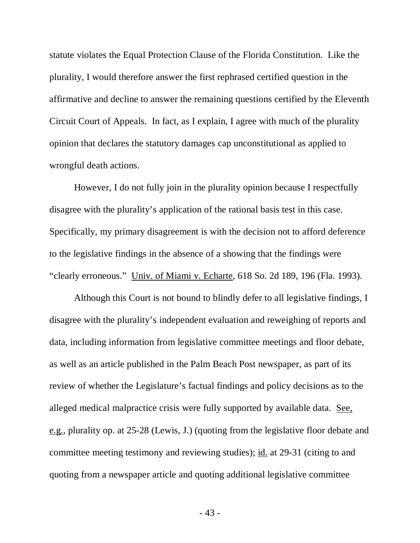statute violates the Equal Protection Clause of the Florida Constitution. Like the plurality, I would therefore answer the first rephrased certified question in the affirmative and decline to answer the remaining questions certified by the Eleventh Circuit Court of Appeals. In fact, as I explain, I agree with much of the plurality opinion that declares the statutory damages cap unconstitutional as applied to wrongful death actions.

However, I do not fully join in the plurality opinion because I respectfully disagree with the plurality's application of the rational basis test in this case. Specifically, my primary disagreement is with the decision not to afford deference to the legislative findings in the absence of a showing that the findings were "clearly erroneous." Univ. of Miami v. Echarte, 618 So. 2d 189, 196 (Fla. 1993).

Although this Court is not bound to blindly defer to all legislative findings, I disagree with the plurality's independent evaluation and reweighing of reports and data, including information from legislative committee meetings and floor debate, as well as an article published in the Palm Beach Post newspaper, as part of its review of whether the Legislature's factual findings and policy decisions as to the alleged medical malpractice crisis were fully supported by available data. See, e.g., plurality op. at 25-28 (Lewis, J.) (quoting from the legislative floor debate and committee meeting testimony and reviewing studies); id. at 29-31 (citing to and quoting from a newspaper article and quoting additional legislative committee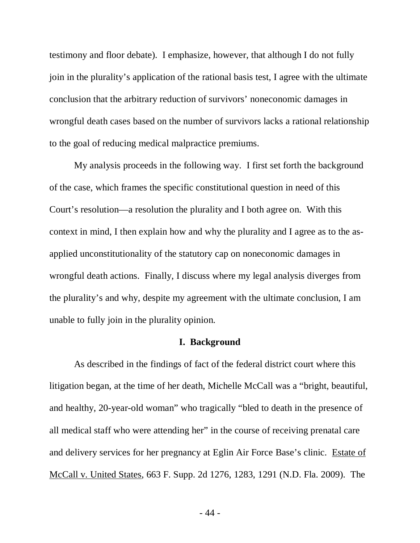testimony and floor debate). I emphasize, however, that although I do not fully join in the plurality's application of the rational basis test, I agree with the ultimate conclusion that the arbitrary reduction of survivors' noneconomic damages in wrongful death cases based on the number of survivors lacks a rational relationship to the goal of reducing medical malpractice premiums.

My analysis proceeds in the following way. I first set forth the background of the case, which frames the specific constitutional question in need of this Court's resolution—a resolution the plurality and I both agree on. With this context in mind, I then explain how and why the plurality and I agree as to the asapplied unconstitutionality of the statutory cap on noneconomic damages in wrongful death actions. Finally, I discuss where my legal analysis diverges from the plurality's and why, despite my agreement with the ultimate conclusion, I am unable to fully join in the plurality opinion.

#### **I. Background**

As described in the findings of fact of the federal district court where this litigation began, at the time of her death, Michelle McCall was a "bright, beautiful, and healthy, 20-year-old woman" who tragically "bled to death in the presence of all medical staff who were attending her" in the course of receiving prenatal care and delivery services for her pregnancy at Eglin Air Force Base's clinic. Estate of McCall v. United States, 663 F. Supp. 2d 1276, 1283, 1291 (N.D. Fla. 2009). The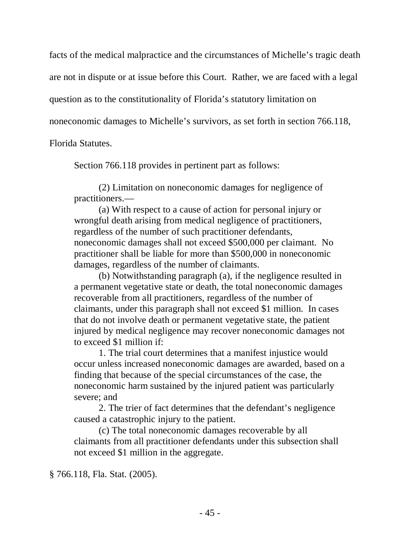facts of the medical malpractice and the circumstances of Michelle's tragic death are not in dispute or at issue before this Court. Rather, we are faced with a legal question as to the constitutionality of Florida's statutory limitation on

noneconomic damages to Michelle's survivors, as set forth in section 766.118,

Florida Statutes.

Section 766.118 provides in pertinent part as follows:

(2) Limitation on noneconomic damages for negligence of practitioners.—

(a) With respect to a cause of action for personal injury or wrongful death arising from medical negligence of practitioners, regardless of the number of such practitioner defendants, noneconomic damages shall not exceed \$500,000 per claimant. No practitioner shall be liable for more than \$500,000 in noneconomic damages, regardless of the number of claimants.

(b) Notwithstanding paragraph (a), if the negligence resulted in a permanent vegetative state or death, the total noneconomic damages recoverable from all practitioners, regardless of the number of claimants, under this paragraph shall not exceed \$1 million. In cases that do not involve death or permanent vegetative state, the patient injured by medical negligence may recover noneconomic damages not to exceed \$1 million if:

1. The trial court determines that a manifest injustice would occur unless increased noneconomic damages are awarded, based on a finding that because of the special circumstances of the case, the noneconomic harm sustained by the injured patient was particularly severe; and

2. The trier of fact determines that the defendant's negligence caused a catastrophic injury to the patient.

(c) The total noneconomic damages recoverable by all claimants from all practitioner defendants under this subsection shall not exceed \$1 million in the aggregate.

§ 766.118, Fla. Stat. (2005).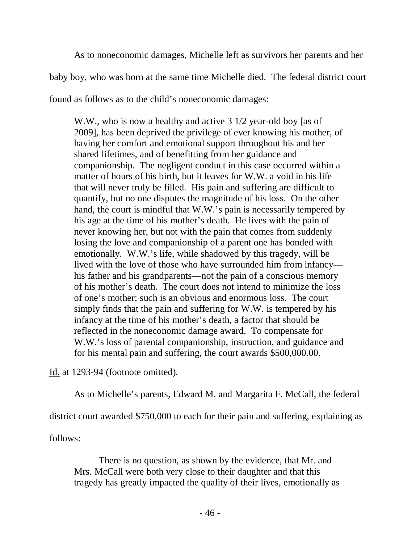As to noneconomic damages, Michelle left as survivors her parents and her baby boy, who was born at the same time Michelle died. The federal district court found as follows as to the child's noneconomic damages:

W.W., who is now a healthy and active 3 1/2 year-old boy [as of 2009], has been deprived the privilege of ever knowing his mother, of having her comfort and emotional support throughout his and her shared lifetimes, and of benefitting from her guidance and companionship. The negligent conduct in this case occurred within a matter of hours of his birth, but it leaves for W.W. a void in his life that will never truly be filled. His pain and suffering are difficult to quantify, but no one disputes the magnitude of his loss. On the other hand, the court is mindful that W.W.'s pain is necessarily tempered by his age at the time of his mother's death. He lives with the pain of never knowing her, but not with the pain that comes from suddenly losing the love and companionship of a parent one has bonded with emotionally. W.W.'s life, while shadowed by this tragedy, will be lived with the love of those who have surrounded him from infancy his father and his grandparents—not the pain of a conscious memory of his mother's death. The court does not intend to minimize the loss of one's mother; such is an obvious and enormous loss. The court simply finds that the pain and suffering for W.W. is tempered by his infancy at the time of his mother's death, a factor that should be reflected in the noneconomic damage award. To compensate for W.W.'s loss of parental companionship, instruction, and guidance and for his mental pain and suffering, the court awards \$500,000.00.

Id. at 1293-94 (footnote omitted).

As to Michelle's parents, Edward M. and Margarita F. McCall, the federal

district court awarded \$750,000 to each for their pain and suffering, explaining as

follows:

There is no question, as shown by the evidence, that Mr. and Mrs. McCall were both very close to their daughter and that this tragedy has greatly impacted the quality of their lives, emotionally as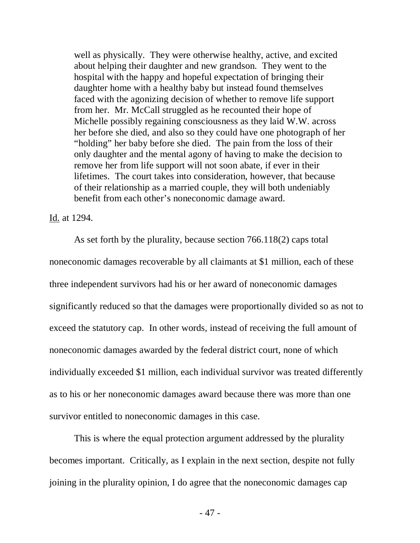well as physically. They were otherwise healthy, active, and excited about helping their daughter and new grandson. They went to the hospital with the happy and hopeful expectation of bringing their daughter home with a healthy baby but instead found themselves faced with the agonizing decision of whether to remove life support from her. Mr. McCall struggled as he recounted their hope of Michelle possibly regaining consciousness as they laid W.W. across her before she died, and also so they could have one photograph of her "holding" her baby before she died. The pain from the loss of their only daughter and the mental agony of having to make the decision to remove her from life support will not soon abate, if ever in their lifetimes. The court takes into consideration, however, that because of their relationship as a married couple, they will both undeniably benefit from each other's noneconomic damage award.

#### Id. at 1294.

As set forth by the plurality, because section 766.118(2) caps total noneconomic damages recoverable by all claimants at \$1 million, each of these three independent survivors had his or her award of noneconomic damages significantly reduced so that the damages were proportionally divided so as not to exceed the statutory cap. In other words, instead of receiving the full amount of noneconomic damages awarded by the federal district court, none of which individually exceeded \$1 million, each individual survivor was treated differently as to his or her noneconomic damages award because there was more than one survivor entitled to noneconomic damages in this case.

This is where the equal protection argument addressed by the plurality becomes important. Critically, as I explain in the next section, despite not fully joining in the plurality opinion, I do agree that the noneconomic damages cap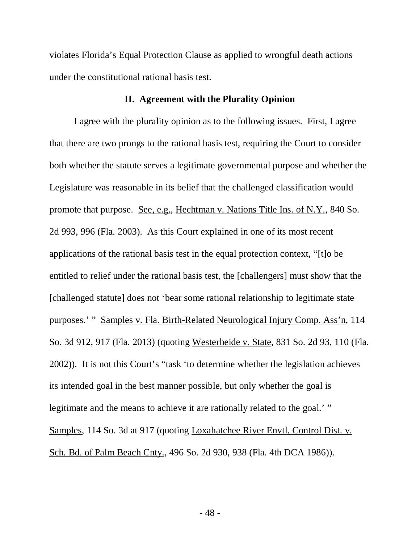violates Florida's Equal Protection Clause as applied to wrongful death actions under the constitutional rational basis test.

## **II. Agreement with the Plurality Opinion**

I agree with the plurality opinion as to the following issues. First, I agree that there are two prongs to the rational basis test, requiring the Court to consider both whether the statute serves a legitimate governmental purpose and whether the Legislature was reasonable in its belief that the challenged classification would promote that purpose. See, e.g., Hechtman v. Nations Title Ins. of N.Y., 840 So. 2d 993, 996 (Fla. 2003). As this Court explained in one of its most recent applications of the rational basis test in the equal protection context, "[t]o be entitled to relief under the rational basis test, the [challengers] must show that the [challenged statute] does not 'bear some rational relationship to legitimate state purposes.' " Samples v. Fla. Birth-Related Neurological Injury Comp. Ass'n, 114 So. 3d 912, 917 (Fla. 2013) (quoting Westerheide v. State, 831 So. 2d 93, 110 (Fla. 2002)). It is not this Court's "task 'to determine whether the legislation achieves its intended goal in the best manner possible, but only whether the goal is legitimate and the means to achieve it are rationally related to the goal.' " Samples, 114 So. 3d at 917 (quoting Loxahatchee River Envtl. Control Dist. v. Sch. Bd. of Palm Beach Cnty., 496 So. 2d 930, 938 (Fla. 4th DCA 1986)).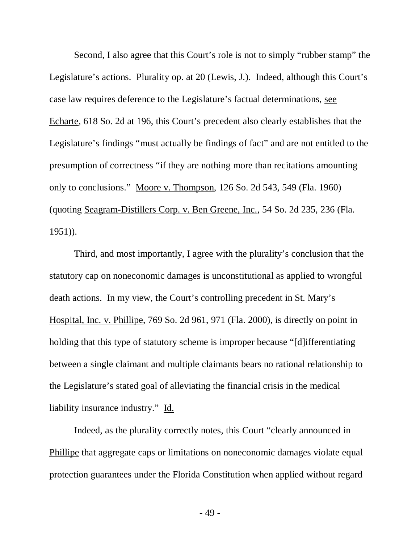Second, I also agree that this Court's role is not to simply "rubber stamp" the Legislature's actions. Plurality op. at 20 (Lewis, J.). Indeed, although this Court's case law requires deference to the Legislature's factual determinations, see Echarte, 618 So. 2d at 196, this Court's precedent also clearly establishes that the Legislature's findings "must actually be findings of fact" and are not entitled to the presumption of correctness "if they are nothing more than recitations amounting only to conclusions." Moore v. Thompson, 126 So. 2d 543, 549 (Fla. 1960) (quoting Seagram-Distillers Corp. v. Ben Greene, Inc., 54 So. 2d 235, 236 (Fla. 1951)).

Third, and most importantly, I agree with the plurality's conclusion that the statutory cap on noneconomic damages is unconstitutional as applied to wrongful death actions. In my view, the Court's controlling precedent in St. Mary's Hospital, Inc. v. Phillipe, 769 So. 2d 961, 971 (Fla. 2000), is directly on point in holding that this type of statutory scheme is improper because "[d]ifferentiating between a single claimant and multiple claimants bears no rational relationship to the Legislature's stated goal of alleviating the financial crisis in the medical liability insurance industry." Id.

Indeed, as the plurality correctly notes, this Court "clearly announced in Phillipe that aggregate caps or limitations on noneconomic damages violate equal protection guarantees under the Florida Constitution when applied without regard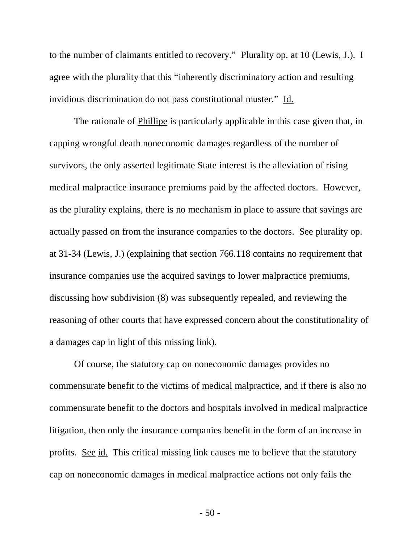to the number of claimants entitled to recovery." Plurality op. at 10 (Lewis, J.). I agree with the plurality that this "inherently discriminatory action and resulting invidious discrimination do not pass constitutional muster." Id.

The rationale of Phillipe is particularly applicable in this case given that, in capping wrongful death noneconomic damages regardless of the number of survivors, the only asserted legitimate State interest is the alleviation of rising medical malpractice insurance premiums paid by the affected doctors. However, as the plurality explains, there is no mechanism in place to assure that savings are actually passed on from the insurance companies to the doctors. See plurality op. at 31-34 (Lewis, J.) (explaining that section 766.118 contains no requirement that insurance companies use the acquired savings to lower malpractice premiums, discussing how subdivision (8) was subsequently repealed, and reviewing the reasoning of other courts that have expressed concern about the constitutionality of a damages cap in light of this missing link).

Of course, the statutory cap on noneconomic damages provides no commensurate benefit to the victims of medical malpractice, and if there is also no commensurate benefit to the doctors and hospitals involved in medical malpractice litigation, then only the insurance companies benefit in the form of an increase in profits. See id. This critical missing link causes me to believe that the statutory cap on noneconomic damages in medical malpractice actions not only fails the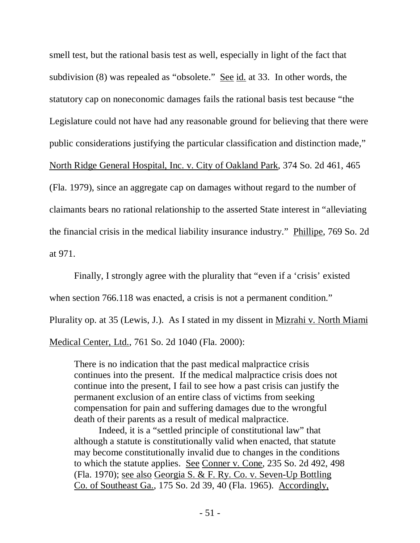smell test, but the rational basis test as well, especially in light of the fact that subdivision (8) was repealed as "obsolete." See id. at 33. In other words, the statutory cap on noneconomic damages fails the rational basis test because "the Legislature could not have had any reasonable ground for believing that there were public considerations justifying the particular classification and distinction made," North Ridge General Hospital, Inc. v. City of Oakland Park, 374 So. 2d 461, 465 (Fla. 1979), since an aggregate cap on damages without regard to the number of claimants bears no rational relationship to the asserted State interest in "alleviating the financial crisis in the medical liability insurance industry." Phillipe, 769 So. 2d at 971.

Finally, I strongly agree with the plurality that "even if a 'crisis' existed when section 766.118 was enacted, a crisis is not a permanent condition." Plurality op. at 35 (Lewis, J.). As I stated in my dissent in Mizrahi v. North Miami Medical Center, Ltd., 761 So. 2d 1040 (Fla. 2000):

There is no indication that the past medical malpractice crisis continues into the present. If the medical malpractice crisis does not continue into the present, I fail to see how a past crisis can justify the permanent exclusion of an entire class of victims from seeking compensation for pain and suffering damages due to the wrongful death of their parents as a result of medical malpractice.

Indeed, it is a "settled principle of constitutional law" that although a statute is constitutionally valid when enacted, that statute may become constitutionally invalid due to changes in the conditions to which the statute applies. See Conner v. Cone, 235 So. 2d 492, 498 (Fla. 1970); see also Georgia S. & F. Ry. Co. v. Seven-Up Bottling Co. of Southeast Ga., 175 So. 2d 39, 40 (Fla. 1965). Accordingly,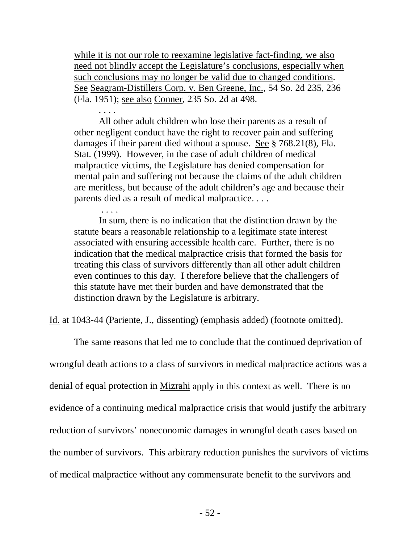while it is not our role to reexamine legislative fact-finding, we also need not blindly accept the Legislature's conclusions, especially when such conclusions may no longer be valid due to changed conditions. See Seagram-Distillers Corp. v. Ben Greene, Inc., 54 So. 2d 235, 236 (Fla. 1951); see also Conner, 235 So. 2d at 498.

. . . .

All other adult children who lose their parents as a result of other negligent conduct have the right to recover pain and suffering damages if their parent died without a spouse. See § 768.21(8), Fla. Stat. (1999). However, in the case of adult children of medical malpractice victims, the Legislature has denied compensation for mental pain and suffering not because the claims of the adult children are meritless, but because of the adult children's age and because their parents died as a result of medical malpractice. . . .

. . . . In sum, there is no indication that the distinction drawn by the statute bears a reasonable relationship to a legitimate state interest associated with ensuring accessible health care. Further, there is no indication that the medical malpractice crisis that formed the basis for treating this class of survivors differently than all other adult children even continues to this day. I therefore believe that the challengers of this statute have met their burden and have demonstrated that the distinction drawn by the Legislature is arbitrary.

Id. at 1043-44 (Pariente, J., dissenting) (emphasis added) (footnote omitted).

The same reasons that led me to conclude that the continued deprivation of wrongful death actions to a class of survivors in medical malpractice actions was a denial of equal protection in Mizrahi apply in this context as well. There is no evidence of a continuing medical malpractice crisis that would justify the arbitrary reduction of survivors' noneconomic damages in wrongful death cases based on the number of survivors. This arbitrary reduction punishes the survivors of victims of medical malpractice without any commensurate benefit to the survivors and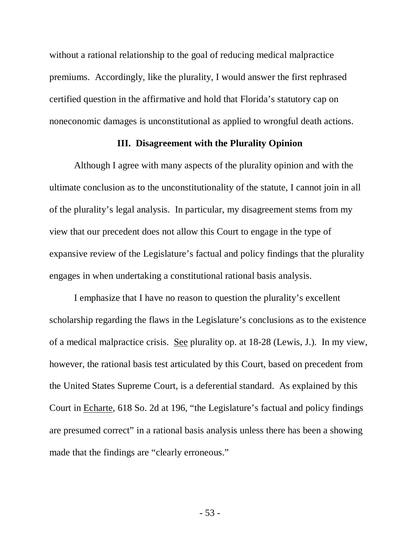without a rational relationship to the goal of reducing medical malpractice premiums. Accordingly, like the plurality, I would answer the first rephrased certified question in the affirmative and hold that Florida's statutory cap on noneconomic damages is unconstitutional as applied to wrongful death actions.

## **III. Disagreement with the Plurality Opinion**

Although I agree with many aspects of the plurality opinion and with the ultimate conclusion as to the unconstitutionality of the statute, I cannot join in all of the plurality's legal analysis. In particular, my disagreement stems from my view that our precedent does not allow this Court to engage in the type of expansive review of the Legislature's factual and policy findings that the plurality engages in when undertaking a constitutional rational basis analysis.

I emphasize that I have no reason to question the plurality's excellent scholarship regarding the flaws in the Legislature's conclusions as to the existence of a medical malpractice crisis. See plurality op. at 18-28 (Lewis, J.). In my view, however, the rational basis test articulated by this Court, based on precedent from the United States Supreme Court, is a deferential standard. As explained by this Court in Echarte, 618 So. 2d at 196, "the Legislature's factual and policy findings are presumed correct" in a rational basis analysis unless there has been a showing made that the findings are "clearly erroneous."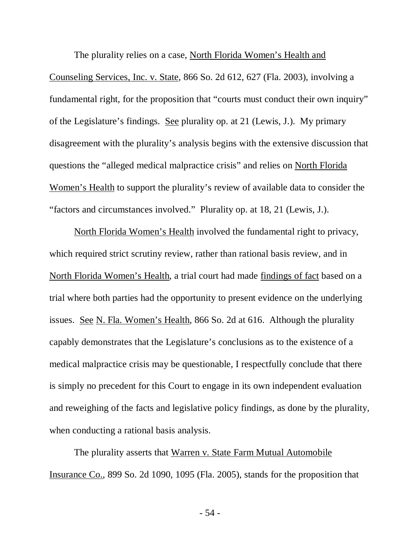The plurality relies on a case, North Florida Women's Health and Counseling Services, Inc. v. State, 866 So. 2d 612, 627 (Fla. 2003), involving a fundamental right, for the proposition that "courts must conduct their own inquiry" of the Legislature's findings. See plurality op. at 21 (Lewis, J.). My primary disagreement with the plurality's analysis begins with the extensive discussion that questions the "alleged medical malpractice crisis" and relies on North Florida Women's Health to support the plurality's review of available data to consider the "factors and circumstances involved." Plurality op. at 18, 21 (Lewis, J.).

North Florida Women's Health involved the fundamental right to privacy, which required strict scrutiny review, rather than rational basis review, and in North Florida Women's Health, a trial court had made findings of fact based on a trial where both parties had the opportunity to present evidence on the underlying issues. See N. Fla. Women's Health, 866 So. 2d at 616. Although the plurality capably demonstrates that the Legislature's conclusions as to the existence of a medical malpractice crisis may be questionable, I respectfully conclude that there is simply no precedent for this Court to engage in its own independent evaluation and reweighing of the facts and legislative policy findings, as done by the plurality, when conducting a rational basis analysis.

The plurality asserts that Warren v. State Farm Mutual Automobile Insurance Co., 899 So. 2d 1090, 1095 (Fla. 2005), stands for the proposition that

- 54 -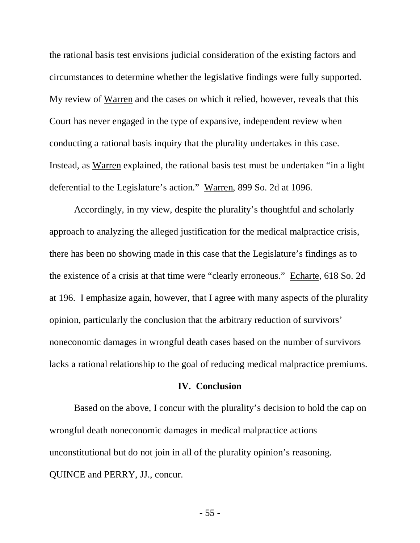the rational basis test envisions judicial consideration of the existing factors and circumstances to determine whether the legislative findings were fully supported. My review of Warren and the cases on which it relied, however, reveals that this Court has never engaged in the type of expansive, independent review when conducting a rational basis inquiry that the plurality undertakes in this case. Instead, as Warren explained, the rational basis test must be undertaken "in a light deferential to the Legislature's action." Warren, 899 So. 2d at 1096.

Accordingly, in my view, despite the plurality's thoughtful and scholarly approach to analyzing the alleged justification for the medical malpractice crisis, there has been no showing made in this case that the Legislature's findings as to the existence of a crisis at that time were "clearly erroneous." Echarte, 618 So. 2d at 196. I emphasize again, however, that I agree with many aspects of the plurality opinion, particularly the conclusion that the arbitrary reduction of survivors' noneconomic damages in wrongful death cases based on the number of survivors lacks a rational relationship to the goal of reducing medical malpractice premiums.

## **IV. Conclusion**

Based on the above, I concur with the plurality's decision to hold the cap on wrongful death noneconomic damages in medical malpractice actions unconstitutional but do not join in all of the plurality opinion's reasoning. QUINCE and PERRY, JJ., concur.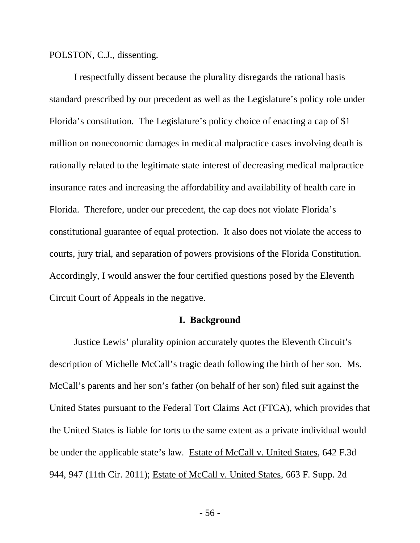POLSTON, C.J., dissenting.

I respectfully dissent because the plurality disregards the rational basis standard prescribed by our precedent as well as the Legislature's policy role under Florida's constitution. The Legislature's policy choice of enacting a cap of \$1 million on noneconomic damages in medical malpractice cases involving death is rationally related to the legitimate state interest of decreasing medical malpractice insurance rates and increasing the affordability and availability of health care in Florida. Therefore, under our precedent, the cap does not violate Florida's constitutional guarantee of equal protection. It also does not violate the access to courts, jury trial, and separation of powers provisions of the Florida Constitution. Accordingly, I would answer the four certified questions posed by the Eleventh Circuit Court of Appeals in the negative.

## **I. Background**

Justice Lewis' plurality opinion accurately quotes the Eleventh Circuit's description of Michelle McCall's tragic death following the birth of her son. Ms. McCall's parents and her son's father (on behalf of her son) filed suit against the United States pursuant to the Federal Tort Claims Act (FTCA), which provides that the United States is liable for torts to the same extent as a private individual would be under the applicable state's law. Estate of McCall v. United States, 642 F.3d 944, 947 (11th Cir. 2011); Estate of McCall v. United States, 663 F. Supp. 2d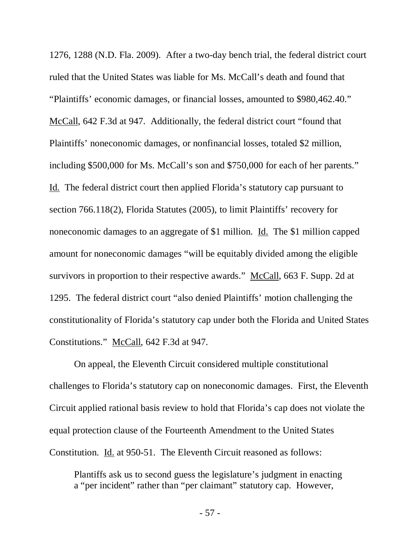1276, 1288 (N.D. Fla. 2009). After a two-day bench trial, the federal district court ruled that the United States was liable for Ms. McCall's death and found that "Plaintiffs' economic damages, or financial losses, amounted to \$980,462.40." McCall, 642 F.3d at 947. Additionally, the federal district court "found that Plaintiffs' noneconomic damages, or nonfinancial losses, totaled \$2 million, including \$500,000 for Ms. McCall's son and \$750,000 for each of her parents." Id. The federal district court then applied Florida's statutory cap pursuant to section 766.118(2), Florida Statutes (2005), to limit Plaintiffs' recovery for noneconomic damages to an aggregate of \$1 million. Id. The \$1 million capped amount for noneconomic damages "will be equitably divided among the eligible survivors in proportion to their respective awards." McCall, 663 F. Supp. 2d at 1295. The federal district court "also denied Plaintiffs' motion challenging the constitutionality of Florida's statutory cap under both the Florida and United States Constitutions." McCall, 642 F.3d at 947.

On appeal, the Eleventh Circuit considered multiple constitutional challenges to Florida's statutory cap on noneconomic damages. First, the Eleventh Circuit applied rational basis review to hold that Florida's cap does not violate the equal protection clause of the Fourteenth Amendment to the United States Constitution. Id. at 950-51. The Eleventh Circuit reasoned as follows:

Plantiffs ask us to second guess the legislature's judgment in enacting a "per incident" rather than "per claimant" statutory cap. However,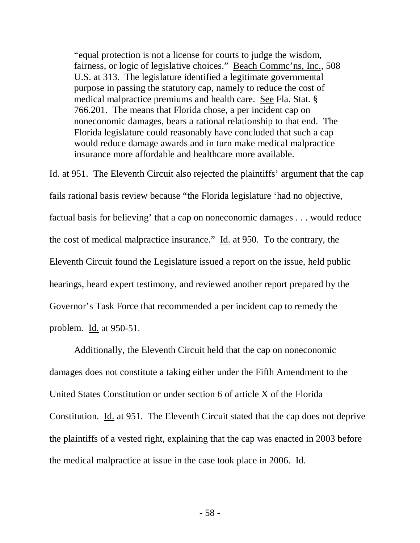"equal protection is not a license for courts to judge the wisdom, fairness, or logic of legislative choices." Beach Commc'ns, Inc., 508 U.S. at 313. The legislature identified a legitimate governmental purpose in passing the statutory cap, namely to reduce the cost of medical malpractice premiums and health care. See Fla. Stat. § 766.201. The means that Florida chose, a per incident cap on noneconomic damages, bears a rational relationship to that end. The Florida legislature could reasonably have concluded that such a cap would reduce damage awards and in turn make medical malpractice insurance more affordable and healthcare more available.

Id. at 951. The Eleventh Circuit also rejected the plaintiffs' argument that the cap fails rational basis review because "the Florida legislature 'had no objective, factual basis for believing' that a cap on noneconomic damages . . . would reduce the cost of medical malpractice insurance." Id. at 950. To the contrary, the Eleventh Circuit found the Legislature issued a report on the issue, held public hearings, heard expert testimony, and reviewed another report prepared by the Governor's Task Force that recommended a per incident cap to remedy the problem. Id. at 950-51.

Additionally, the Eleventh Circuit held that the cap on noneconomic damages does not constitute a taking either under the Fifth Amendment to the United States Constitution or under section 6 of article X of the Florida Constitution. Id. at 951. The Eleventh Circuit stated that the cap does not deprive the plaintiffs of a vested right, explaining that the cap was enacted in 2003 before the medical malpractice at issue in the case took place in 2006. Id.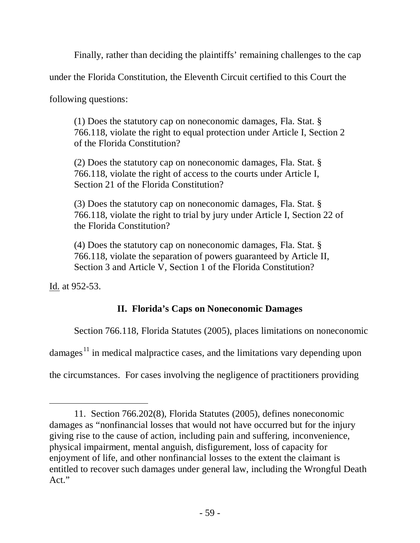Finally, rather than deciding the plaintiffs' remaining challenges to the cap

under the Florida Constitution, the Eleventh Circuit certified to this Court the

following questions:

(1) Does the statutory cap on noneconomic damages, Fla. Stat. § 766.118, violate the right to equal protection under Article I, Section 2 of the Florida Constitution?

(2) Does the statutory cap on noneconomic damages, Fla. Stat. § 766.118, violate the right of access to the courts under Article I, Section 21 of the Florida Constitution?

(3) Does the statutory cap on noneconomic damages, Fla. Stat. § 766.118, violate the right to trial by jury under Article I, Section 22 of the Florida Constitution?

(4) Does the statutory cap on noneconomic damages, Fla. Stat. § 766.118, violate the separation of powers guaranteed by Article II, Section 3 and Article V, Section 1 of the Florida Constitution?

Id. at 952-53.

 $\overline{a}$ 

# **II. Florida's Caps on Noneconomic Damages**

Section 766.118, Florida Statutes (2005), places limitations on noneconomic

damages $<sup>11</sup>$  $<sup>11</sup>$  $<sup>11</sup>$  in medical malpractice cases, and the limitations vary depending upon</sup>

the circumstances. For cases involving the negligence of practitioners providing

<span id="page-58-0"></span><sup>11.</sup> Section 766.202(8), Florida Statutes (2005), defines noneconomic damages as "nonfinancial losses that would not have occurred but for the injury giving rise to the cause of action, including pain and suffering, inconvenience, physical impairment, mental anguish, disfigurement, loss of capacity for enjoyment of life, and other nonfinancial losses to the extent the claimant is entitled to recover such damages under general law, including the Wrongful Death Act."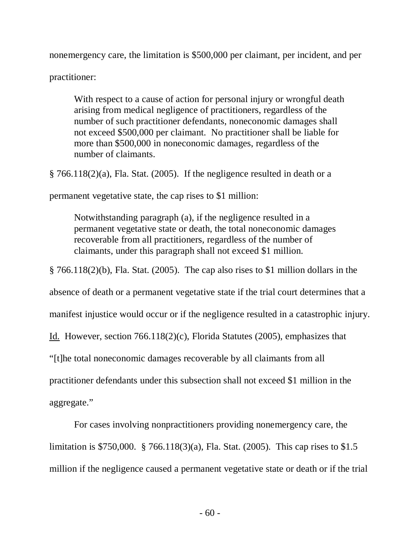nonemergency care, the limitation is \$500,000 per claimant, per incident, and per

practitioner:

With respect to a cause of action for personal injury or wrongful death arising from medical negligence of practitioners, regardless of the number of such practitioner defendants, noneconomic damages shall not exceed \$500,000 per claimant. No practitioner shall be liable for more than \$500,000 in noneconomic damages, regardless of the number of claimants.

§ 766.118(2)(a), Fla. Stat. (2005). If the negligence resulted in death or a

permanent vegetative state, the cap rises to \$1 million:

Notwithstanding paragraph (a), if the negligence resulted in a permanent vegetative state or death, the total noneconomic damages recoverable from all practitioners, regardless of the number of claimants, under this paragraph shall not exceed \$1 million.

§ 766.118(2)(b), Fla. Stat. (2005). The cap also rises to \$1 million dollars in the

absence of death or a permanent vegetative state if the trial court determines that a

manifest injustice would occur or if the negligence resulted in a catastrophic injury.

Id. However, section 766.118(2)(c), Florida Statutes (2005), emphasizes that

"[t]he total noneconomic damages recoverable by all claimants from all

practitioner defendants under this subsection shall not exceed \$1 million in the

aggregate."

For cases involving nonpractitioners providing nonemergency care, the limitation is \$750,000. § 766.118(3)(a), Fla. Stat. (2005). This cap rises to \$1.5 million if the negligence caused a permanent vegetative state or death or if the trial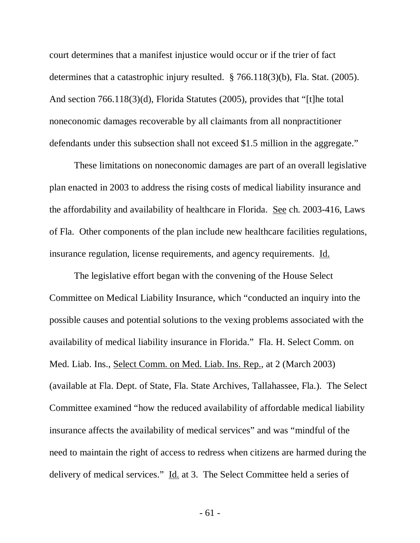court determines that a manifest injustice would occur or if the trier of fact determines that a catastrophic injury resulted. § 766.118(3)(b), Fla. Stat. (2005). And section 766.118(3)(d), Florida Statutes (2005), provides that "[t]he total noneconomic damages recoverable by all claimants from all nonpractitioner defendants under this subsection shall not exceed \$1.5 million in the aggregate."

These limitations on noneconomic damages are part of an overall legislative plan enacted in 2003 to address the rising costs of medical liability insurance and the affordability and availability of healthcare in Florida. See ch. 2003-416, Laws of Fla. Other components of the plan include new healthcare facilities regulations, insurance regulation, license requirements, and agency requirements. Id.

The legislative effort began with the convening of the House Select Committee on Medical Liability Insurance, which "conducted an inquiry into the possible causes and potential solutions to the vexing problems associated with the availability of medical liability insurance in Florida." Fla. H. Select Comm. on Med. Liab. Ins., Select Comm. on Med. Liab. Ins. Rep., at 2 (March 2003) (available at Fla. Dept. of State, Fla. State Archives, Tallahassee, Fla.). The Select Committee examined "how the reduced availability of affordable medical liability insurance affects the availability of medical services" and was "mindful of the need to maintain the right of access to redress when citizens are harmed during the delivery of medical services." Id. at 3. The Select Committee held a series of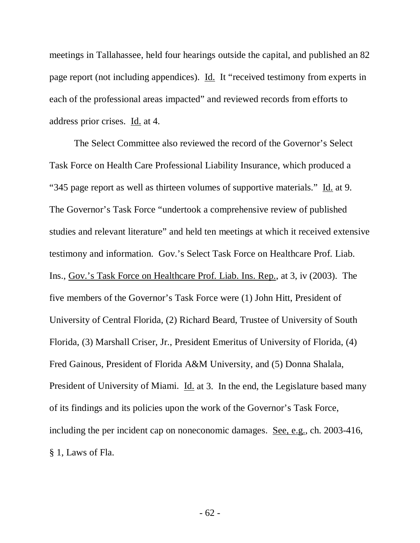meetings in Tallahassee, held four hearings outside the capital, and published an 82 page report (not including appendices). Id. It "received testimony from experts in each of the professional areas impacted" and reviewed records from efforts to address prior crises. Id. at 4.

The Select Committee also reviewed the record of the Governor's Select Task Force on Health Care Professional Liability Insurance, which produced a "345 page report as well as thirteen volumes of supportive materials." Id. at 9. The Governor's Task Force "undertook a comprehensive review of published studies and relevant literature" and held ten meetings at which it received extensive testimony and information. Gov.'s Select Task Force on Healthcare Prof. Liab. Ins., Gov.'s Task Force on Healthcare Prof. Liab. Ins. Rep., at 3, iv (2003). The five members of the Governor's Task Force were (1) John Hitt, President of University of Central Florida, (2) Richard Beard, Trustee of University of South Florida, (3) Marshall Criser, Jr., President Emeritus of University of Florida, (4) Fred Gainous, President of Florida A&M University, and (5) Donna Shalala, President of University of Miami. Id. at 3. In the end, the Legislature based many of its findings and its policies upon the work of the Governor's Task Force, including the per incident cap on noneconomic damages. See, e.g., ch. 2003-416, § 1, Laws of Fla.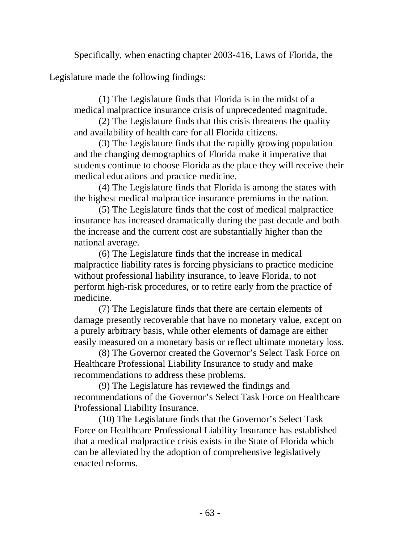Specifically, when enacting chapter 2003-416, Laws of Florida, the

Legislature made the following findings:

(1) The Legislature finds that Florida is in the midst of a medical malpractice insurance crisis of unprecedented magnitude.

(2) The Legislature finds that this crisis threatens the quality and availability of health care for all Florida citizens.

(3) The Legislature finds that the rapidly growing population and the changing demographics of Florida make it imperative that students continue to choose Florida as the place they will receive their medical educations and practice medicine.

(4) The Legislature finds that Florida is among the states with the highest medical malpractice insurance premiums in the nation.

(5) The Legislature finds that the cost of medical malpractice insurance has increased dramatically during the past decade and both the increase and the current cost are substantially higher than the national average.

(6) The Legislature finds that the increase in medical malpractice liability rates is forcing physicians to practice medicine without professional liability insurance, to leave Florida, to not perform high-risk procedures, or to retire early from the practice of medicine.

(7) The Legislature finds that there are certain elements of damage presently recoverable that have no monetary value, except on a purely arbitrary basis, while other elements of damage are either easily measured on a monetary basis or reflect ultimate monetary loss.

(8) The Governor created the Governor's Select Task Force on Healthcare Professional Liability Insurance to study and make recommendations to address these problems.

(9) The Legislature has reviewed the findings and recommendations of the Governor's Select Task Force on Healthcare Professional Liability Insurance.

(10) The Legislature finds that the Governor's Select Task Force on Healthcare Professional Liability Insurance has established that a medical malpractice crisis exists in the State of Florida which can be alleviated by the adoption of comprehensive legislatively enacted reforms.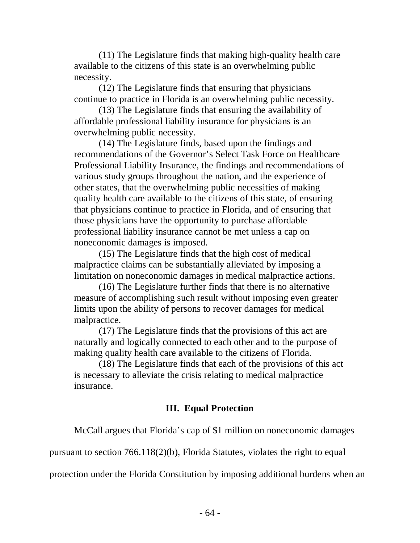(11) The Legislature finds that making high-quality health care available to the citizens of this state is an overwhelming public necessity.

(12) The Legislature finds that ensuring that physicians continue to practice in Florida is an overwhelming public necessity.

(13) The Legislature finds that ensuring the availability of affordable professional liability insurance for physicians is an overwhelming public necessity.

(14) The Legislature finds, based upon the findings and recommendations of the Governor's Select Task Force on Healthcare Professional Liability Insurance, the findings and recommendations of various study groups throughout the nation, and the experience of other states, that the overwhelming public necessities of making quality health care available to the citizens of this state, of ensuring that physicians continue to practice in Florida, and of ensuring that those physicians have the opportunity to purchase affordable professional liability insurance cannot be met unless a cap on noneconomic damages is imposed.

(15) The Legislature finds that the high cost of medical malpractice claims can be substantially alleviated by imposing a limitation on noneconomic damages in medical malpractice actions.

(16) The Legislature further finds that there is no alternative measure of accomplishing such result without imposing even greater limits upon the ability of persons to recover damages for medical malpractice.

(17) The Legislature finds that the provisions of this act are naturally and logically connected to each other and to the purpose of making quality health care available to the citizens of Florida.

(18) The Legislature finds that each of the provisions of this act is necessary to alleviate the crisis relating to medical malpractice insurance.

# **III. Equal Protection**

McCall argues that Florida's cap of \$1 million on noneconomic damages

pursuant to section 766.118(2)(b), Florida Statutes, violates the right to equal

protection under the Florida Constitution by imposing additional burdens when an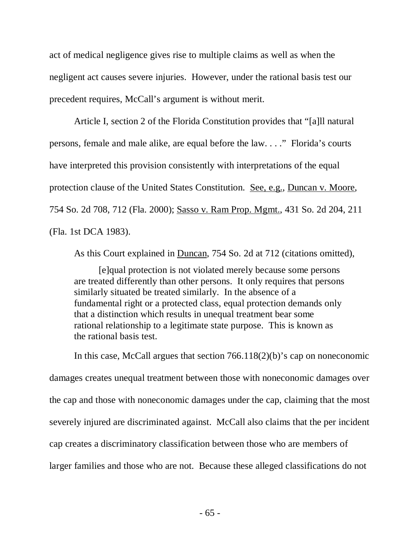act of medical negligence gives rise to multiple claims as well as when the negligent act causes severe injuries. However, under the rational basis test our precedent requires, McCall's argument is without merit.

Article I, section 2 of the Florida Constitution provides that "[a]ll natural persons, female and male alike, are equal before the law. . . ." Florida's courts have interpreted this provision consistently with interpretations of the equal protection clause of the United States Constitution. See, e.g., Duncan v. Moore, 754 So. 2d 708, 712 (Fla. 2000); Sasso v. Ram Prop. Mgmt., 431 So. 2d 204, 211 (Fla. 1st DCA 1983).

As this Court explained in Duncan, 754 So. 2d at 712 (citations omitted),

[e]qual protection is not violated merely because some persons are treated differently than other persons. It only requires that persons similarly situated be treated similarly. In the absence of a fundamental right or a protected class, equal protection demands only that a distinction which results in unequal treatment bear some rational relationship to a legitimate state purpose. This is known as the rational basis test.

In this case, McCall argues that section 766.118(2)(b)'s cap on noneconomic damages creates unequal treatment between those with noneconomic damages over the cap and those with noneconomic damages under the cap, claiming that the most severely injured are discriminated against. McCall also claims that the per incident cap creates a discriminatory classification between those who are members of larger families and those who are not. Because these alleged classifications do not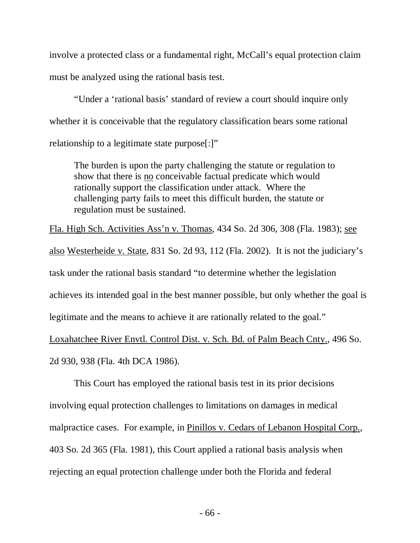involve a protected class or a fundamental right, McCall's equal protection claim must be analyzed using the rational basis test.

"Under a 'rational basis' standard of review a court should inquire only whether it is conceivable that the regulatory classification bears some rational relationship to a legitimate state purpose[:]"

The burden is upon the party challenging the statute or regulation to show that there is **no** conceivable factual predicate which would rationally support the classification under attack. Where the challenging party fails to meet this difficult burden, the statute or regulation must be sustained.

Fla. High Sch. Activities Ass'n v. Thomas, 434 So. 2d 306, 308 (Fla. 1983); see also Westerheide v. State, 831 So. 2d 93, 112 (Fla. 2002). It is not the judiciary's task under the rational basis standard "to determine whether the legislation achieves its intended goal in the best manner possible, but only whether the goal is legitimate and the means to achieve it are rationally related to the goal." Loxahatchee River Envtl. Control Dist. v. Sch. Bd. of Palm Beach Cnty., 496 So. 2d 930, 938 (Fla. 4th DCA 1986).

This Court has employed the rational basis test in its prior decisions involving equal protection challenges to limitations on damages in medical malpractice cases. For example, in Pinillos v. Cedars of Lebanon Hospital Corp., 403 So. 2d 365 (Fla. 1981), this Court applied a rational basis analysis when rejecting an equal protection challenge under both the Florida and federal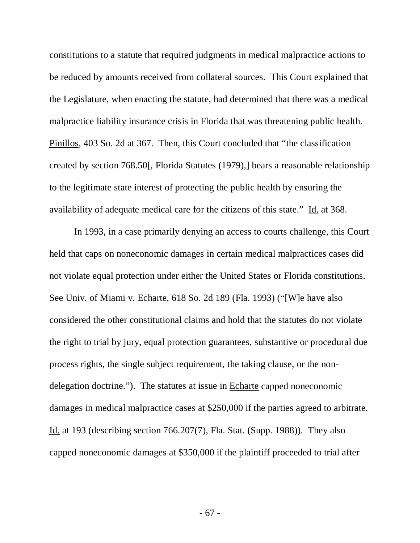constitutions to a statute that required judgments in medical malpractice actions to be reduced by amounts received from collateral sources. This Court explained that the Legislature, when enacting the statute, had determined that there was a medical malpractice liability insurance crisis in Florida that was threatening public health. Pinillos, 403 So. 2d at 367. Then, this Court concluded that "the classification created by section 768.50[, Florida Statutes (1979),] bears a reasonable relationship to the legitimate state interest of protecting the public health by ensuring the availability of adequate medical care for the citizens of this state." Id. at 368.

In 1993, in a case primarily denying an access to courts challenge, this Court held that caps on noneconomic damages in certain medical malpractices cases did not violate equal protection under either the United States or Florida constitutions. See Univ. of Miami v. Echarte, 618 So. 2d 189 (Fla. 1993) ("[W]e have also considered the other constitutional claims and hold that the statutes do not violate the right to trial by jury, equal protection guarantees, substantive or procedural due process rights, the single subject requirement, the taking clause, or the nondelegation doctrine."). The statutes at issue in Echarte capped noneconomic damages in medical malpractice cases at \$250,000 if the parties agreed to arbitrate. Id. at 193 (describing section 766.207(7), Fla. Stat. (Supp. 1988)). They also capped noneconomic damages at \$350,000 if the plaintiff proceeded to trial after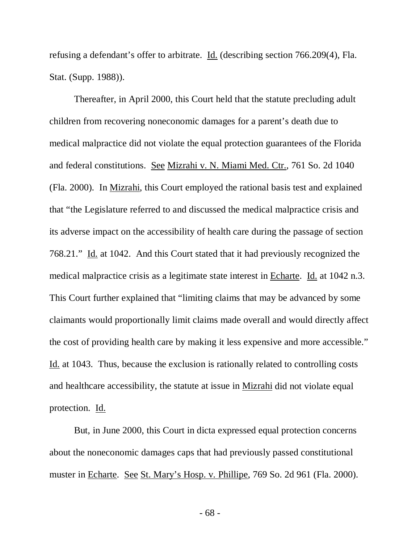refusing a defendant's offer to arbitrate. Id. (describing section 766.209(4), Fla. Stat. (Supp. 1988)).

Thereafter, in April 2000, this Court held that the statute precluding adult children from recovering noneconomic damages for a parent's death due to medical malpractice did not violate the equal protection guarantees of the Florida and federal constitutions. See Mizrahi v. N. Miami Med. Ctr., 761 So. 2d 1040 (Fla. 2000). In Mizrahi, this Court employed the rational basis test and explained that "the Legislature referred to and discussed the medical malpractice crisis and its adverse impact on the accessibility of health care during the passage of section 768.21." Id. at 1042. And this Court stated that it had previously recognized the medical malpractice crisis as a legitimate state interest in Echarte. Id. at 1042 n.3. This Court further explained that "limiting claims that may be advanced by some claimants would proportionally limit claims made overall and would directly affect the cost of providing health care by making it less expensive and more accessible." Id. at 1043. Thus, because the exclusion is rationally related to controlling costs and healthcare accessibility, the statute at issue in Mizrahi did not violate equal protection. Id.

But, in June 2000, this Court in dicta expressed equal protection concerns about the noneconomic damages caps that had previously passed constitutional muster in Echarte. See St. Mary's Hosp. v. Phillipe, 769 So. 2d 961 (Fla. 2000).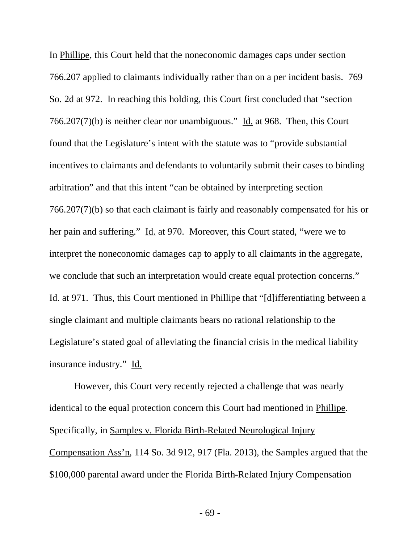In Phillipe, this Court held that the noneconomic damages caps under section 766.207 applied to claimants individually rather than on a per incident basis. 769 So. 2d at 972. In reaching this holding, this Court first concluded that "section 766.207(7)(b) is neither clear nor unambiguous." Id. at 968. Then, this Court found that the Legislature's intent with the statute was to "provide substantial incentives to claimants and defendants to voluntarily submit their cases to binding arbitration" and that this intent "can be obtained by interpreting section 766.207(7)(b) so that each claimant is fairly and reasonably compensated for his or her pain and suffering." Id. at 970. Moreover, this Court stated, "were we to interpret the noneconomic damages cap to apply to all claimants in the aggregate, we conclude that such an interpretation would create equal protection concerns." Id. at 971. Thus, this Court mentioned in Phillipe that "[d]ifferentiating between a single claimant and multiple claimants bears no rational relationship to the Legislature's stated goal of alleviating the financial crisis in the medical liability insurance industry." Id.

However, this Court very recently rejected a challenge that was nearly identical to the equal protection concern this Court had mentioned in Phillipe. Specifically, in Samples v. Florida Birth-Related Neurological Injury Compensation Ass'n, 114 So. 3d 912, 917 (Fla. 2013), the Samples argued that the \$100,000 parental award under the Florida Birth-Related Injury Compensation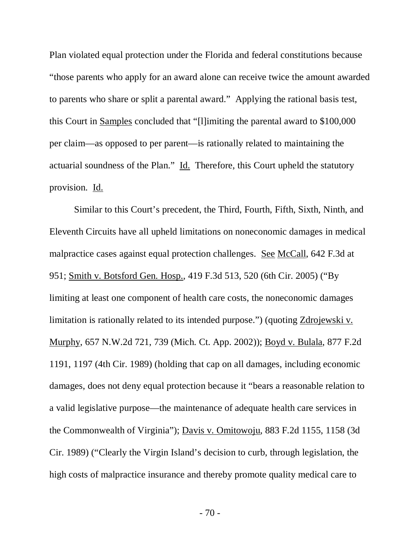Plan violated equal protection under the Florida and federal constitutions because "those parents who apply for an award alone can receive twice the amount awarded to parents who share or split a parental award." Applying the rational basis test, this Court in Samples concluded that "[l]imiting the parental award to \$100,000 per claim—as opposed to per parent—is rationally related to maintaining the actuarial soundness of the Plan." Id. Therefore, this Court upheld the statutory provision. Id.

Similar to this Court's precedent, the Third, Fourth, Fifth, Sixth, Ninth, and Eleventh Circuits have all upheld limitations on noneconomic damages in medical malpractice cases against equal protection challenges. See McCall, 642 F.3d at 951; Smith v. Botsford Gen. Hosp., 419 F.3d 513, 520 (6th Cir. 2005) ("By limiting at least one component of health care costs, the noneconomic damages limitation is rationally related to its intended purpose.") (quoting Zdrojewski v. Murphy, 657 N.W.2d 721, 739 (Mich. Ct. App. 2002)); Boyd v. Bulala, 877 F.2d 1191, 1197 (4th Cir. 1989) (holding that cap on all damages, including economic damages, does not deny equal protection because it "bears a reasonable relation to a valid legislative purpose—the maintenance of adequate health care services in the Commonwealth of Virginia"); Davis v. Omitowoju, 883 F.2d 1155, 1158 (3d Cir. 1989) ("Clearly the Virgin Island's decision to curb, through legislation, the high costs of malpractice insurance and thereby promote quality medical care to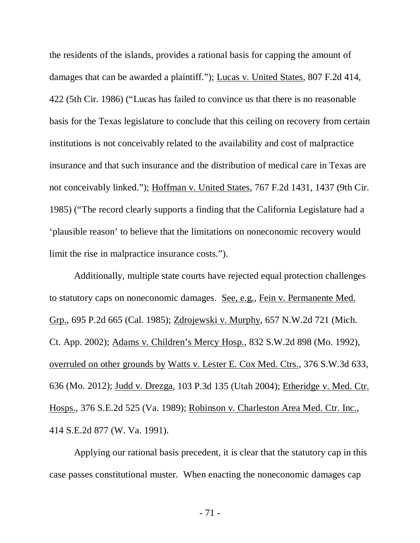the residents of the islands, provides a rational basis for capping the amount of damages that can be awarded a plaintiff."); Lucas v. United States, 807 F.2d 414, 422 (5th Cir. 1986) ("Lucas has failed to convince us that there is no reasonable basis for the Texas legislature to conclude that this ceiling on recovery from certain institutions is not conceivably related to the availability and cost of malpractice insurance and that such insurance and the distribution of medical care in Texas are not conceivably linked."); Hoffman v. United States, 767 F.2d 1431, 1437 (9th Cir. 1985) ("The record clearly supports a finding that the California Legislature had a 'plausible reason' to believe that the limitations on noneconomic recovery would limit the rise in malpractice insurance costs.").

Additionally, multiple state courts have rejected equal protection challenges to statutory caps on noneconomic damages. See, e.g., Fein v. Permanente Med. Grp., 695 P.2d 665 (Cal. 1985); Zdrojewski v. Murphy, 657 N.W.2d 721 (Mich. Ct. App. 2002); Adams v. Children's Mercy Hosp., 832 S.W.2d 898 (Mo. 1992), overruled on other grounds by Watts v. Lester E. Cox Med. Ctrs., 376 S.W.3d 633, 636 (Mo. 2012); Judd v. Drezga, 103 P.3d 135 (Utah 2004); Etheridge v. Med. Ctr. Hosps., 376 S.E.2d 525 (Va. 1989); Robinson v. Charleston Area Med. Ctr. Inc., 414 S.E.2d 877 (W. Va. 1991).

Applying our rational basis precedent, it is clear that the statutory cap in this case passes constitutional muster. When enacting the noneconomic damages cap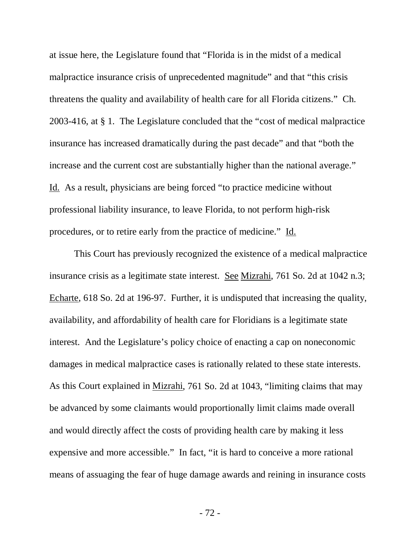at issue here, the Legislature found that "Florida is in the midst of a medical malpractice insurance crisis of unprecedented magnitude" and that "this crisis threatens the quality and availability of health care for all Florida citizens." Ch. 2003-416, at § 1. The Legislature concluded that the "cost of medical malpractice insurance has increased dramatically during the past decade" and that "both the increase and the current cost are substantially higher than the national average." Id. As a result, physicians are being forced "to practice medicine without professional liability insurance, to leave Florida, to not perform high-risk procedures, or to retire early from the practice of medicine." Id.

This Court has previously recognized the existence of a medical malpractice insurance crisis as a legitimate state interest. See Mizrahi, 761 So. 2d at 1042 n.3; Echarte, 618 So. 2d at 196-97. Further, it is undisputed that increasing the quality, availability, and affordability of health care for Floridians is a legitimate state interest. And the Legislature's policy choice of enacting a cap on noneconomic damages in medical malpractice cases is rationally related to these state interests. As this Court explained in Mizrahi, 761 So. 2d at 1043, "limiting claims that may be advanced by some claimants would proportionally limit claims made overall and would directly affect the costs of providing health care by making it less expensive and more accessible." In fact, "it is hard to conceive a more rational means of assuaging the fear of huge damage awards and reining in insurance costs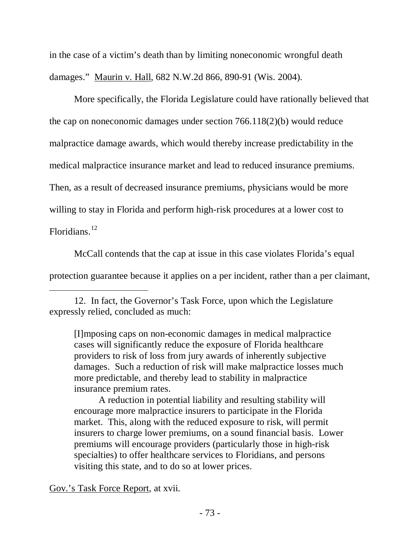in the case of a victim's death than by limiting noneconomic wrongful death damages." Maurin v. Hall, 682 N.W.2d 866, 890-91 (Wis. 2004).

More specifically, the Florida Legislature could have rationally believed that the cap on noneconomic damages under section 766.118(2)(b) would reduce malpractice damage awards, which would thereby increase predictability in the medical malpractice insurance market and lead to reduced insurance premiums. Then, as a result of decreased insurance premiums, physicians would be more willing to stay in Florida and perform high-risk procedures at a lower cost to Floridians.<sup>[12](#page-72-0)</sup>

McCall contends that the cap at issue in this case violates Florida's equal protection guarantee because it applies on a per incident, rather than a per claimant,

[I]mposing caps on non-economic damages in medical malpractice cases will significantly reduce the exposure of Florida healthcare providers to risk of loss from jury awards of inherently subjective damages. Such a reduction of risk will make malpractice losses much more predictable, and thereby lead to stability in malpractice insurance premium rates.

A reduction in potential liability and resulting stability will encourage more malpractice insurers to participate in the Florida market. This, along with the reduced exposure to risk, will permit insurers to charge lower premiums, on a sound financial basis. Lower premiums will encourage providers (particularly those in high-risk specialties) to offer healthcare services to Floridians, and persons visiting this state, and to do so at lower prices.

Gov.'s Task Force Report, at xvii.

<span id="page-72-0"></span><sup>12.</sup> In fact, the Governor's Task Force, upon which the Legislature expressly relied, concluded as much: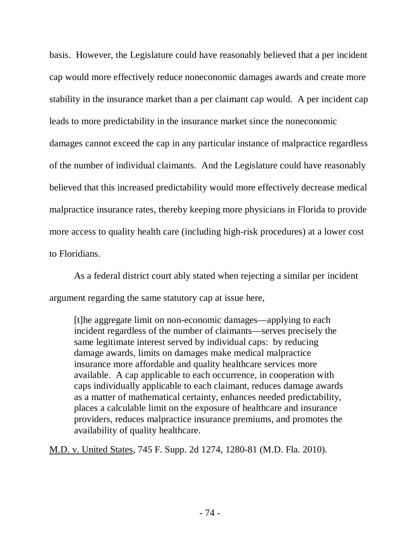basis. However, the Legislature could have reasonably believed that a per incident cap would more effectively reduce noneconomic damages awards and create more stability in the insurance market than a per claimant cap would. A per incident cap leads to more predictability in the insurance market since the noneconomic damages cannot exceed the cap in any particular instance of malpractice regardless of the number of individual claimants. And the Legislature could have reasonably believed that this increased predictability would more effectively decrease medical malpractice insurance rates, thereby keeping more physicians in Florida to provide more access to quality health care (including high-risk procedures) at a lower cost to Floridians.

As a federal district court ably stated when rejecting a similar per incident argument regarding the same statutory cap at issue here,

[t]he aggregate limit on non-economic damages—applying to each incident regardless of the number of claimants—serves precisely the same legitimate interest served by individual caps: by reducing damage awards, limits on damages make medical malpractice insurance more affordable and quality healthcare services more available. A cap applicable to each occurrence, in cooperation with caps individually applicable to each claimant, reduces damage awards as a matter of mathematical certainty, enhances needed predictability, places a calculable limit on the exposure of healthcare and insurance providers, reduces malpractice insurance premiums, and promotes the availability of quality healthcare.

M.D. v. United States, 745 F. Supp. 2d 1274, 1280-81 (M.D. Fla. 2010).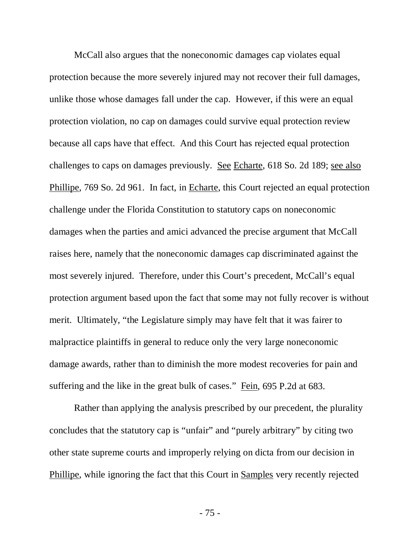McCall also argues that the noneconomic damages cap violates equal protection because the more severely injured may not recover their full damages, unlike those whose damages fall under the cap. However, if this were an equal protection violation, no cap on damages could survive equal protection review because all caps have that effect. And this Court has rejected equal protection challenges to caps on damages previously. See Echarte, 618 So. 2d 189; see also Phillipe, 769 So. 2d 961. In fact, in Echarte, this Court rejected an equal protection challenge under the Florida Constitution to statutory caps on noneconomic damages when the parties and amici advanced the precise argument that McCall raises here, namely that the noneconomic damages cap discriminated against the most severely injured. Therefore, under this Court's precedent, McCall's equal protection argument based upon the fact that some may not fully recover is without merit. Ultimately, "the Legislature simply may have felt that it was fairer to malpractice plaintiffs in general to reduce only the very large noneconomic damage awards, rather than to diminish the more modest recoveries for pain and suffering and the like in the great bulk of cases." Fein, 695 P.2d at 683.

Rather than applying the analysis prescribed by our precedent, the plurality concludes that the statutory cap is "unfair" and "purely arbitrary" by citing two other state supreme courts and improperly relying on dicta from our decision in Phillipe, while ignoring the fact that this Court in Samples very recently rejected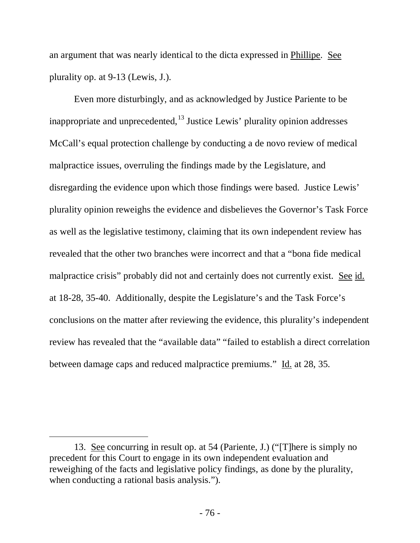an argument that was nearly identical to the dicta expressed in Phillipe. See plurality op. at 9-13 (Lewis, J.).

Even more disturbingly, and as acknowledged by Justice Pariente to be inappropriate and unprecedented,  $^{13}$  $^{13}$  $^{13}$  Justice Lewis' plurality opinion addresses McCall's equal protection challenge by conducting a de novo review of medical malpractice issues, overruling the findings made by the Legislature, and disregarding the evidence upon which those findings were based. Justice Lewis' plurality opinion reweighs the evidence and disbelieves the Governor's Task Force as well as the legislative testimony, claiming that its own independent review has revealed that the other two branches were incorrect and that a "bona fide medical malpractice crisis" probably did not and certainly does not currently exist. See id. at 18-28, 35-40. Additionally, despite the Legislature's and the Task Force's conclusions on the matter after reviewing the evidence, this plurality's independent review has revealed that the "available data" "failed to establish a direct correlation between damage caps and reduced malpractice premiums." Id. at 28, 35.

<span id="page-75-0"></span><sup>13.</sup> See concurring in result op. at 54 (Pariente, J.) ("[T]here is simply no precedent for this Court to engage in its own independent evaluation and reweighing of the facts and legislative policy findings, as done by the plurality, when conducting a rational basis analysis.").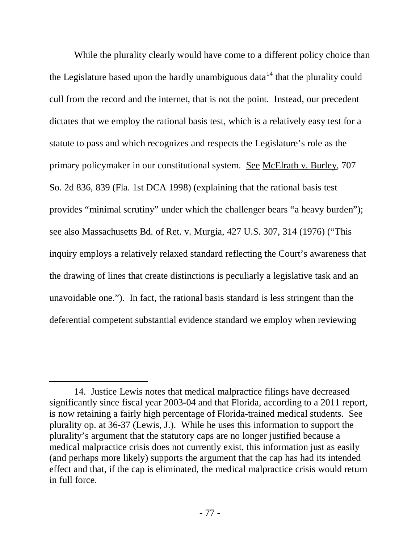While the plurality clearly would have come to a different policy choice than the Legislature based upon the hardly unambiguous data<sup>[14](#page-76-0)</sup> that the plurality could cull from the record and the internet, that is not the point. Instead, our precedent dictates that we employ the rational basis test, which is a relatively easy test for a statute to pass and which recognizes and respects the Legislature's role as the primary policymaker in our constitutional system. See McElrath v. Burley, 707 So. 2d 836, 839 (Fla. 1st DCA 1998) (explaining that the rational basis test provides "minimal scrutiny" under which the challenger bears "a heavy burden"); see also Massachusetts Bd. of Ret. v. Murgia, 427 U.S. 307, 314 (1976) ("This inquiry employs a relatively relaxed standard reflecting the Court's awareness that the drawing of lines that create distinctions is peculiarly a legislative task and an unavoidable one."). In fact, the rational basis standard is less stringent than the deferential competent substantial evidence standard we employ when reviewing

<span id="page-76-0"></span><sup>14.</sup> Justice Lewis notes that medical malpractice filings have decreased significantly since fiscal year 2003-04 and that Florida, according to a 2011 report, is now retaining a fairly high percentage of Florida-trained medical students. See plurality op. at 36-37 (Lewis, J.). While he uses this information to support the plurality's argument that the statutory caps are no longer justified because a medical malpractice crisis does not currently exist, this information just as easily (and perhaps more likely) supports the argument that the cap has had its intended effect and that, if the cap is eliminated, the medical malpractice crisis would return in full force.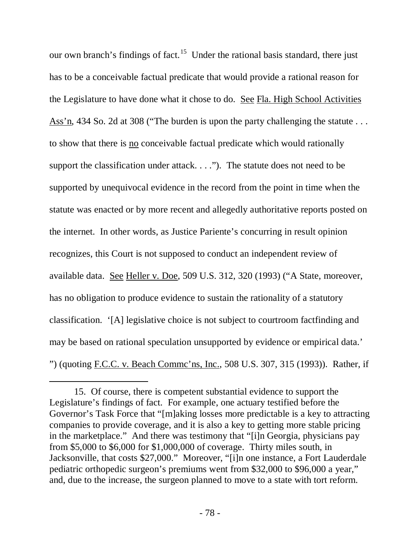our own branch's findings of fact.<sup>[15](#page-77-0)</sup> Under the rational basis standard, there just has to be a conceivable factual predicate that would provide a rational reason for the Legislature to have done what it chose to do. See Fla. High School Activities Ass'n, 434 So. 2d at 308 ("The burden is upon the party challenging the statute . . . to show that there is no conceivable factual predicate which would rationally support the classification under attack. . . ."). The statute does not need to be supported by unequivocal evidence in the record from the point in time when the statute was enacted or by more recent and allegedly authoritative reports posted on the internet. In other words, as Justice Pariente's concurring in result opinion recognizes, this Court is not supposed to conduct an independent review of available data. See Heller v. Doe, 509 U.S. 312, 320 (1993) ("A State, moreover, has no obligation to produce evidence to sustain the rationality of a statutory classification. '[A] legislative choice is not subject to courtroom factfinding and may be based on rational speculation unsupported by evidence or empirical data.' ") (quoting F.C.C. v. Beach Commc'ns, Inc., 508 U.S. 307, 315 (1993)). Rather, if

<span id="page-77-0"></span><sup>15.</sup> Of course, there is competent substantial evidence to support the Legislature's findings of fact. For example, one actuary testified before the Governor's Task Force that "[m]aking losses more predictable is a key to attracting companies to provide coverage, and it is also a key to getting more stable pricing in the marketplace." And there was testimony that "[i]n Georgia, physicians pay from \$5,000 to \$6,000 for \$1,000,000 of coverage. Thirty miles south, in Jacksonville, that costs \$27,000." Moreover, "[i]n one instance, a Fort Lauderdale pediatric orthopedic surgeon's premiums went from \$32,000 to \$96,000 a year," and, due to the increase, the surgeon planned to move to a state with tort reform.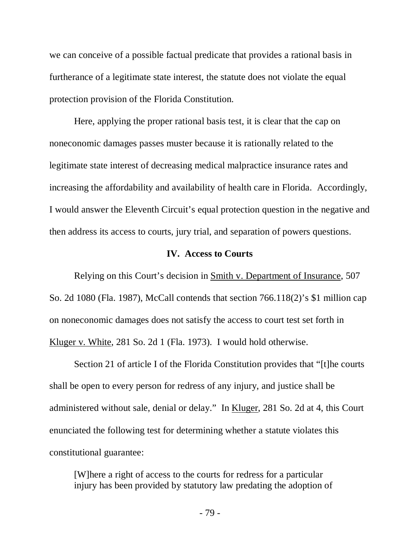we can conceive of a possible factual predicate that provides a rational basis in furtherance of a legitimate state interest, the statute does not violate the equal protection provision of the Florida Constitution.

Here, applying the proper rational basis test, it is clear that the cap on noneconomic damages passes muster because it is rationally related to the legitimate state interest of decreasing medical malpractice insurance rates and increasing the affordability and availability of health care in Florida. Accordingly, I would answer the Eleventh Circuit's equal protection question in the negative and then address its access to courts, jury trial, and separation of powers questions.

### **IV. Access to Courts**

Relying on this Court's decision in Smith v. Department of Insurance, 507 So. 2d 1080 (Fla. 1987), McCall contends that section 766.118(2)'s \$1 million cap on noneconomic damages does not satisfy the access to court test set forth in Kluger v. White, 281 So. 2d 1 (Fla. 1973). I would hold otherwise.

Section 21 of article I of the Florida Constitution provides that "[t]he courts shall be open to every person for redress of any injury, and justice shall be administered without sale, denial or delay." In Kluger, 281 So. 2d at 4, this Court enunciated the following test for determining whether a statute violates this constitutional guarantee:

[W]here a right of access to the courts for redress for a particular injury has been provided by statutory law predating the adoption of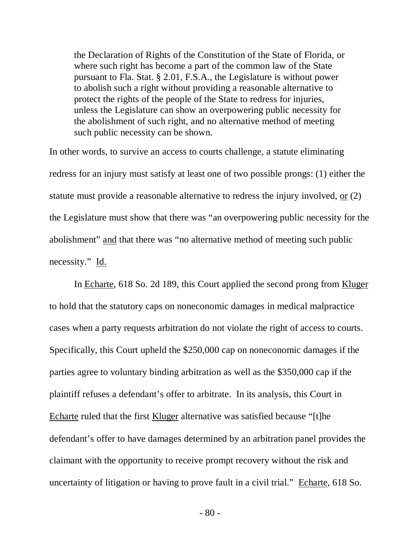the Declaration of Rights of the Constitution of the State of Florida, or where such right has become a part of the common law of the State pursuant to Fla. Stat. § 2.01, F.S.A., the Legislature is without power to abolish such a right without providing a reasonable alternative to protect the rights of the people of the State to redress for injuries, unless the Legislature can show an overpowering public necessity for the abolishment of such right, and no alternative method of meeting such public necessity can be shown.

In other words, to survive an access to courts challenge, a statute eliminating redress for an injury must satisfy at least one of two possible prongs: (1) either the statute must provide a reasonable alternative to redress the injury involved, or (2) the Legislature must show that there was "an overpowering public necessity for the abolishment" and that there was "no alternative method of meeting such public necessity." Id.

In Echarte, 618 So. 2d 189, this Court applied the second prong from Kluger to hold that the statutory caps on noneconomic damages in medical malpractice cases when a party requests arbitration do not violate the right of access to courts. Specifically, this Court upheld the \$250,000 cap on noneconomic damages if the parties agree to voluntary binding arbitration as well as the \$350,000 cap if the plaintiff refuses a defendant's offer to arbitrate. In its analysis, this Court in Echarte ruled that the first Kluger alternative was satisfied because "[t]he defendant's offer to have damages determined by an arbitration panel provides the claimant with the opportunity to receive prompt recovery without the risk and uncertainty of litigation or having to prove fault in a civil trial." Echarte, 618 So.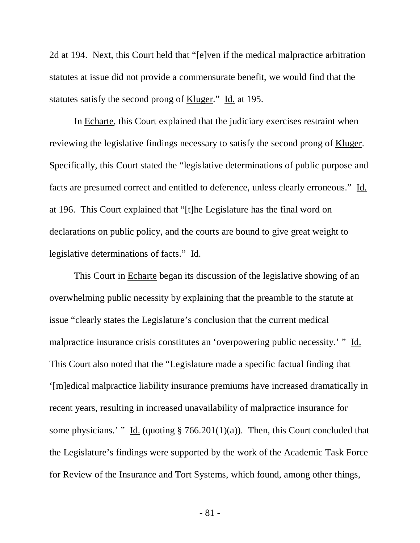2d at 194. Next, this Court held that "[e]ven if the medical malpractice arbitration statutes at issue did not provide a commensurate benefit, we would find that the statutes satisfy the second prong of Kluger." Id. at 195.

In Echarte, this Court explained that the judiciary exercises restraint when reviewing the legislative findings necessary to satisfy the second prong of Kluger. Specifically, this Court stated the "legislative determinations of public purpose and facts are presumed correct and entitled to deference, unless clearly erroneous." Id. at 196. This Court explained that "[t]he Legislature has the final word on declarations on public policy, and the courts are bound to give great weight to legislative determinations of facts." Id.

This Court in Echarte began its discussion of the legislative showing of an overwhelming public necessity by explaining that the preamble to the statute at issue "clearly states the Legislature's conclusion that the current medical malpractice insurance crisis constitutes an 'overpowering public necessity.' " Id. This Court also noted that the "Legislature made a specific factual finding that '[m]edical malpractice liability insurance premiums have increased dramatically in recent years, resulting in increased unavailability of malpractice insurance for some physicians.' " Id. (quoting  $\S$  766.201(1)(a)). Then, this Court concluded that the Legislature's findings were supported by the work of the Academic Task Force for Review of the Insurance and Tort Systems, which found, among other things,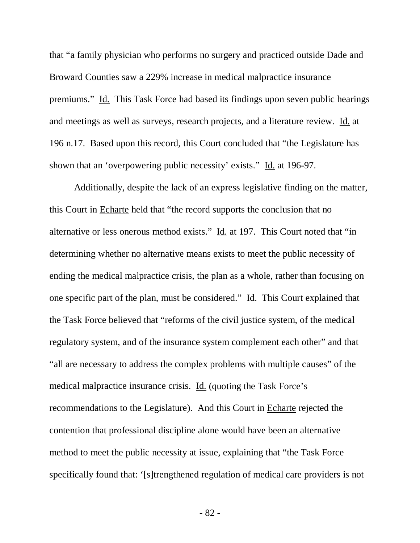that "a family physician who performs no surgery and practiced outside Dade and Broward Counties saw a 229% increase in medical malpractice insurance premiums." Id. This Task Force had based its findings upon seven public hearings and meetings as well as surveys, research projects, and a literature review. Id. at 196 n.17. Based upon this record, this Court concluded that "the Legislature has shown that an 'overpowering public necessity' exists." Id. at 196-97.

Additionally, despite the lack of an express legislative finding on the matter, this Court in Echarte held that "the record supports the conclusion that no alternative or less onerous method exists." Id. at 197. This Court noted that "in determining whether no alternative means exists to meet the public necessity of ending the medical malpractice crisis, the plan as a whole, rather than focusing on one specific part of the plan, must be considered." Id. This Court explained that the Task Force believed that "reforms of the civil justice system, of the medical regulatory system, and of the insurance system complement each other" and that "all are necessary to address the complex problems with multiple causes" of the medical malpractice insurance crisis. Id. (quoting the Task Force's recommendations to the Legislature). And this Court in Echarte rejected the contention that professional discipline alone would have been an alternative method to meet the public necessity at issue, explaining that "the Task Force specifically found that: '[s]trengthened regulation of medical care providers is not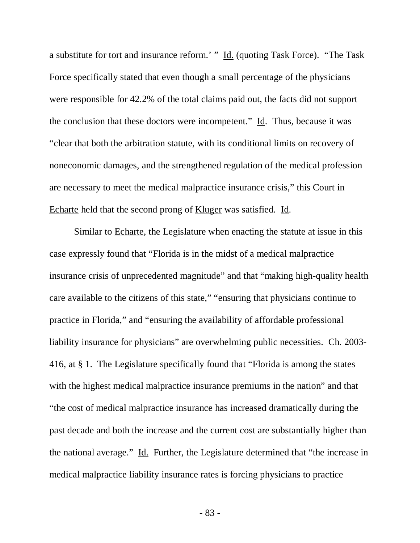a substitute for tort and insurance reform.' " Id. (quoting Task Force). "The Task Force specifically stated that even though a small percentage of the physicians were responsible for 42.2% of the total claims paid out, the facts did not support the conclusion that these doctors were incompetent." Id. Thus, because it was "clear that both the arbitration statute, with its conditional limits on recovery of noneconomic damages, and the strengthened regulation of the medical profession are necessary to meet the medical malpractice insurance crisis," this Court in Echarte held that the second prong of Kluger was satisfied. Id.

Similar to Echarte, the Legislature when enacting the statute at issue in this case expressly found that "Florida is in the midst of a medical malpractice insurance crisis of unprecedented magnitude" and that "making high-quality health care available to the citizens of this state," "ensuring that physicians continue to practice in Florida," and "ensuring the availability of affordable professional liability insurance for physicians" are overwhelming public necessities. Ch. 2003- 416, at § 1. The Legislature specifically found that "Florida is among the states with the highest medical malpractice insurance premiums in the nation" and that "the cost of medical malpractice insurance has increased dramatically during the past decade and both the increase and the current cost are substantially higher than the national average." Id. Further, the Legislature determined that "the increase in medical malpractice liability insurance rates is forcing physicians to practice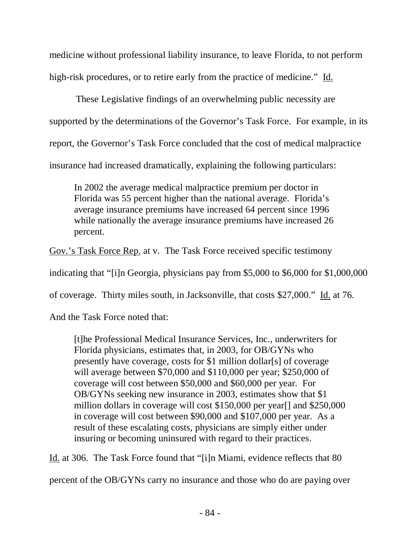medicine without professional liability insurance, to leave Florida, to not perform high-risk procedures, or to retire early from the practice of medicine." Id.

 These Legislative findings of an overwhelming public necessity are supported by the determinations of the Governor's Task Force. For example, in its report, the Governor's Task Force concluded that the cost of medical malpractice insurance had increased dramatically, explaining the following particulars:

In 2002 the average medical malpractice premium per doctor in Florida was 55 percent higher than the national average. Florida's average insurance premiums have increased 64 percent since 1996 while nationally the average insurance premiums have increased 26 percent.

Gov.'s Task Force Rep. at v. The Task Force received specific testimony

indicating that "[i]n Georgia, physicians pay from \$5,000 to \$6,000 for \$1,000,000

of coverage. Thirty miles south, in Jacksonville, that costs \$27,000." Id. at 76.

And the Task Force noted that:

[t]he Professional Medical Insurance Services, Inc., underwriters for Florida physicians, estimates that, in 2003, for OB/GYNs who presently have coverage, costs for \$1 million dollar[s] of coverage will average between \$70,000 and \$110,000 per year; \$250,000 of coverage will cost between \$50,000 and \$60,000 per year. For OB/GYNs seeking new insurance in 2003, estimates show that \$1 million dollars in coverage will cost \$150,000 per year[] and \$250,000 in coverage will cost between \$90,000 and \$107,000 per year. As a result of these escalating costs, physicians are simply either under insuring or becoming uninsured with regard to their practices.

Id. at 306. The Task Force found that "[i]n Miami, evidence reflects that 80

percent of the OB/GYNs carry no insurance and those who do are paying over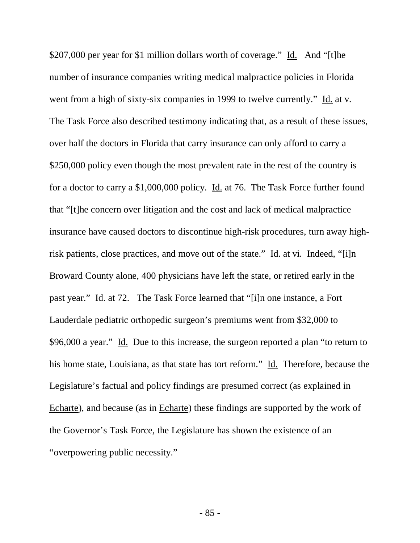\$207,000 per year for \$1 million dollars worth of coverage." Id. And "[t]he number of insurance companies writing medical malpractice policies in Florida went from a high of sixty-six companies in 1999 to twelve currently." Id. at v. The Task Force also described testimony indicating that, as a result of these issues, over half the doctors in Florida that carry insurance can only afford to carry a \$250,000 policy even though the most prevalent rate in the rest of the country is for a doctor to carry a \$1,000,000 policy. Id. at 76. The Task Force further found that "[t]he concern over litigation and the cost and lack of medical malpractice insurance have caused doctors to discontinue high-risk procedures, turn away highrisk patients, close practices, and move out of the state." Id. at vi. Indeed, "[i]n Broward County alone, 400 physicians have left the state, or retired early in the past year." Id. at 72. The Task Force learned that "[i]n one instance, a Fort Lauderdale pediatric orthopedic surgeon's premiums went from \$32,000 to \$96,000 a year." Id. Due to this increase, the surgeon reported a plan "to return to his home state, Louisiana, as that state has tort reform." Id. Therefore, because the Legislature's factual and policy findings are presumed correct (as explained in Echarte), and because (as in Echarte) these findings are supported by the work of the Governor's Task Force, the Legislature has shown the existence of an "overpowering public necessity."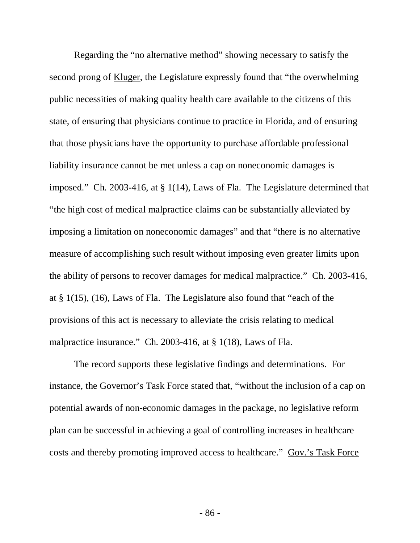Regarding the "no alternative method" showing necessary to satisfy the second prong of Kluger, the Legislature expressly found that "the overwhelming public necessities of making quality health care available to the citizens of this state, of ensuring that physicians continue to practice in Florida, and of ensuring that those physicians have the opportunity to purchase affordable professional liability insurance cannot be met unless a cap on noneconomic damages is imposed." Ch. 2003-416, at § 1(14), Laws of Fla. The Legislature determined that "the high cost of medical malpractice claims can be substantially alleviated by imposing a limitation on noneconomic damages" and that "there is no alternative measure of accomplishing such result without imposing even greater limits upon the ability of persons to recover damages for medical malpractice." Ch. 2003-416, at § 1(15), (16), Laws of Fla. The Legislature also found that "each of the provisions of this act is necessary to alleviate the crisis relating to medical malpractice insurance." Ch. 2003-416, at § 1(18), Laws of Fla.

The record supports these legislative findings and determinations. For instance, the Governor's Task Force stated that, "without the inclusion of a cap on potential awards of non-economic damages in the package, no legislative reform plan can be successful in achieving a goal of controlling increases in healthcare costs and thereby promoting improved access to healthcare." Gov.'s Task Force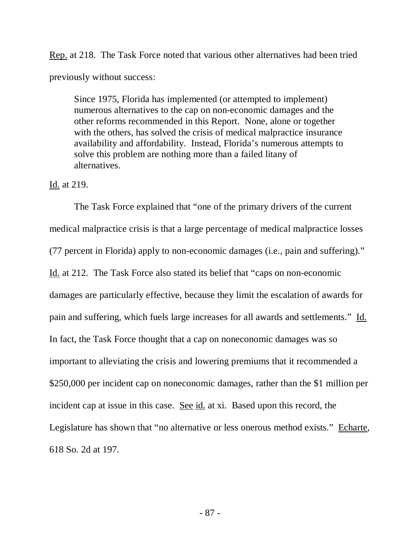Rep. at 218. The Task Force noted that various other alternatives had been tried previously without success:

Since 1975, Florida has implemented (or attempted to implement) numerous alternatives to the cap on non-economic damages and the other reforms recommended in this Report. None, alone or together with the others, has solved the crisis of medical malpractice insurance availability and affordability. Instead, Florida's numerous attempts to solve this problem are nothing more than a failed litany of alternatives.

## Id. at 219.

The Task Force explained that "one of the primary drivers of the current medical malpractice crisis is that a large percentage of medical malpractice losses (77 percent in Florida) apply to non-economic damages (i.e., pain and suffering)." Id. at 212. The Task Force also stated its belief that "caps on non-economic damages are particularly effective, because they limit the escalation of awards for pain and suffering, which fuels large increases for all awards and settlements." Id. In fact, the Task Force thought that a cap on noneconomic damages was so important to alleviating the crisis and lowering premiums that it recommended a \$250,000 per incident cap on noneconomic damages, rather than the \$1 million per incident cap at issue in this case. See id. at xi. Based upon this record, the Legislature has shown that "no alternative or less onerous method exists." Echarte, 618 So. 2d at 197.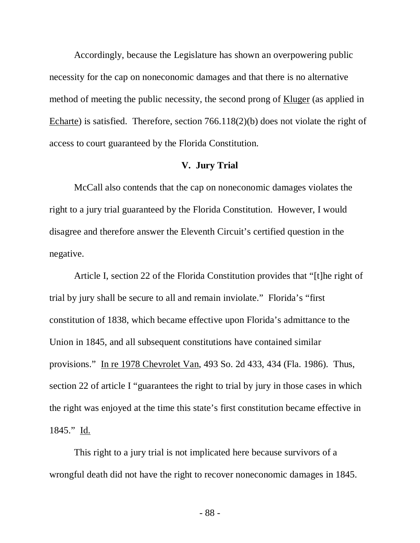Accordingly, because the Legislature has shown an overpowering public necessity for the cap on noneconomic damages and that there is no alternative method of meeting the public necessity, the second prong of Kluger (as applied in Echarte) is satisfied. Therefore, section 766.118(2)(b) does not violate the right of access to court guaranteed by the Florida Constitution.

#### **V. Jury Trial**

McCall also contends that the cap on noneconomic damages violates the right to a jury trial guaranteed by the Florida Constitution. However, I would disagree and therefore answer the Eleventh Circuit's certified question in the negative.

Article I, section 22 of the Florida Constitution provides that "[t]he right of trial by jury shall be secure to all and remain inviolate." Florida's "first constitution of 1838, which became effective upon Florida's admittance to the Union in 1845, and all subsequent constitutions have contained similar provisions." In re 1978 Chevrolet Van, 493 So. 2d 433, 434 (Fla. 1986). Thus, section 22 of article I "guarantees the right to trial by jury in those cases in which the right was enjoyed at the time this state's first constitution became effective in 1845." Id.

This right to a jury trial is not implicated here because survivors of a wrongful death did not have the right to recover noneconomic damages in 1845.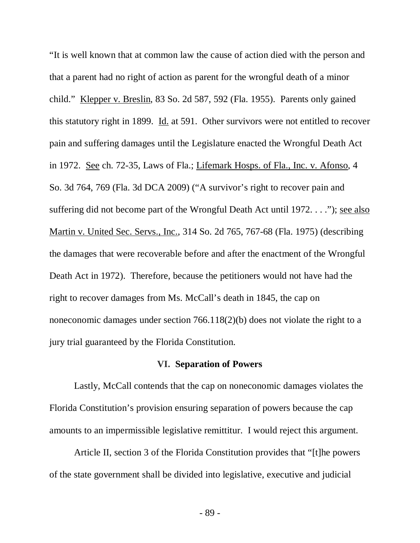"It is well known that at common law the cause of action died with the person and that a parent had no right of action as parent for the wrongful death of a minor child." Klepper v. Breslin, 83 So. 2d 587, 592 (Fla. 1955). Parents only gained this statutory right in 1899. Id. at 591. Other survivors were not entitled to recover pain and suffering damages until the Legislature enacted the Wrongful Death Act in 1972. See ch. 72-35, Laws of Fla.; Lifemark Hosps. of Fla., Inc. v. Afonso, 4 So. 3d 764, 769 (Fla. 3d DCA 2009) ("A survivor's right to recover pain and suffering did not become part of the Wrongful Death Act until 1972. . . ."); see also Martin v. United Sec. Servs., Inc., 314 So. 2d 765, 767-68 (Fla. 1975) (describing the damages that were recoverable before and after the enactment of the Wrongful Death Act in 1972). Therefore, because the petitioners would not have had the right to recover damages from Ms. McCall's death in 1845, the cap on noneconomic damages under section 766.118(2)(b) does not violate the right to a jury trial guaranteed by the Florida Constitution.

## **VI. Separation of Powers**

Lastly, McCall contends that the cap on noneconomic damages violates the Florida Constitution's provision ensuring separation of powers because the cap amounts to an impermissible legislative remittitur. I would reject this argument.

Article II, section 3 of the Florida Constitution provides that "[t]he powers of the state government shall be divided into legislative, executive and judicial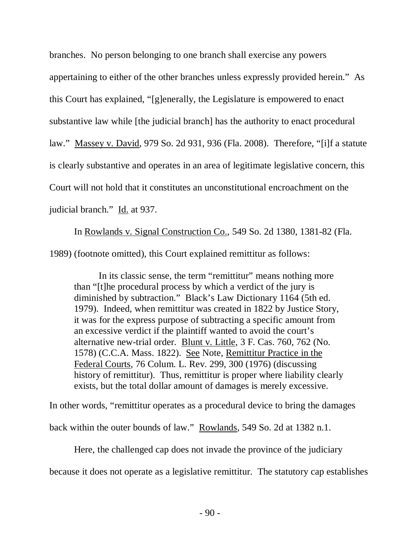branches. No person belonging to one branch shall exercise any powers appertaining to either of the other branches unless expressly provided herein." As this Court has explained, "[g]enerally, the Legislature is empowered to enact substantive law while [the judicial branch] has the authority to enact procedural law." Massey v. David, 979 So. 2d 931, 936 (Fla. 2008). Therefore, "[i]f a statute is clearly substantive and operates in an area of legitimate legislative concern, this Court will not hold that it constitutes an unconstitutional encroachment on the judicial branch." Id. at 937.

In Rowlands v. Signal Construction Co., 549 So. 2d 1380, 1381-82 (Fla. 1989) (footnote omitted), this Court explained remittitur as follows:

In its classic sense, the term "remittitur" means nothing more than "[t]he procedural process by which a verdict of the jury is diminished by subtraction." Black's Law Dictionary 1164 (5th ed. 1979). Indeed, when remittitur was created in 1822 by Justice Story, it was for the express purpose of subtracting a specific amount from an excessive verdict if the plaintiff wanted to avoid the court's alternative new-trial order. Blunt v. Little, 3 F. Cas. 760, 762 (No. 1578) (C.C.A. Mass. 1822). See Note, Remittitur Practice in the Federal Courts, 76 Colum. L. Rev. 299, 300 (1976) (discussing history of remittitur). Thus, remittitur is proper where liability clearly exists, but the total dollar amount of damages is merely excessive.

In other words, "remittitur operates as a procedural device to bring the damages back within the outer bounds of law." Rowlands, 549 So. 2d at 1382 n.1.

Here, the challenged cap does not invade the province of the judiciary because it does not operate as a legislative remittitur. The statutory cap establishes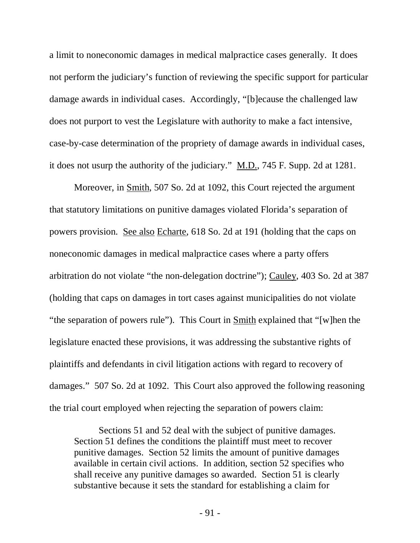a limit to noneconomic damages in medical malpractice cases generally. It does not perform the judiciary's function of reviewing the specific support for particular damage awards in individual cases. Accordingly, "[b]ecause the challenged law does not purport to vest the Legislature with authority to make a fact intensive, case-by-case determination of the propriety of damage awards in individual cases, it does not usurp the authority of the judiciary." M.D., 745 F. Supp. 2d at 1281.

Moreover, in Smith, 507 So. 2d at 1092, this Court rejected the argument that statutory limitations on punitive damages violated Florida's separation of powers provision. See also Echarte, 618 So. 2d at 191 (holding that the caps on noneconomic damages in medical malpractice cases where a party offers arbitration do not violate "the non-delegation doctrine"); Cauley, 403 So. 2d at 387 (holding that caps on damages in tort cases against municipalities do not violate "the separation of powers rule"). This Court in Smith explained that "[w]hen the legislature enacted these provisions, it was addressing the substantive rights of plaintiffs and defendants in civil litigation actions with regard to recovery of damages." 507 So. 2d at 1092. This Court also approved the following reasoning the trial court employed when rejecting the separation of powers claim:

Sections 51 and 52 deal with the subject of punitive damages. Section 51 defines the conditions the plaintiff must meet to recover punitive damages. Section 52 limits the amount of punitive damages available in certain civil actions. In addition, section 52 specifies who shall receive any punitive damages so awarded. Section 51 is clearly substantive because it sets the standard for establishing a claim for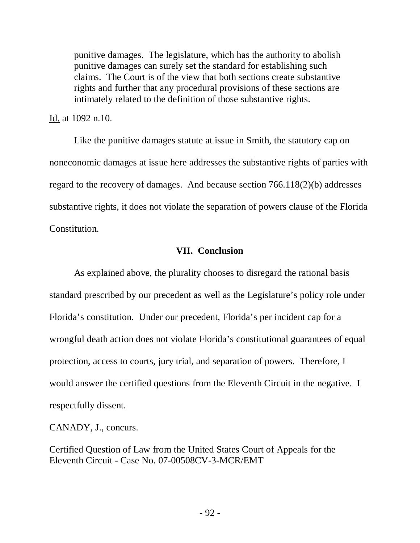punitive damages. The legislature, which has the authority to abolish punitive damages can surely set the standard for establishing such claims. The Court is of the view that both sections create substantive rights and further that any procedural provisions of these sections are intimately related to the definition of those substantive rights.

Id. at 1092 n.10.

Like the punitive damages statute at issue in Smith, the statutory cap on noneconomic damages at issue here addresses the substantive rights of parties with regard to the recovery of damages. And because section 766.118(2)(b) addresses substantive rights, it does not violate the separation of powers clause of the Florida Constitution.

# **VII. Conclusion**

As explained above, the plurality chooses to disregard the rational basis standard prescribed by our precedent as well as the Legislature's policy role under Florida's constitution. Under our precedent, Florida's per incident cap for a wrongful death action does not violate Florida's constitutional guarantees of equal protection, access to courts, jury trial, and separation of powers. Therefore, I would answer the certified questions from the Eleventh Circuit in the negative. I respectfully dissent.

CANADY, J., concurs.

Certified Question of Law from the United States Court of Appeals for the Eleventh Circuit - Case No. 07-00508CV-3-MCR/EMT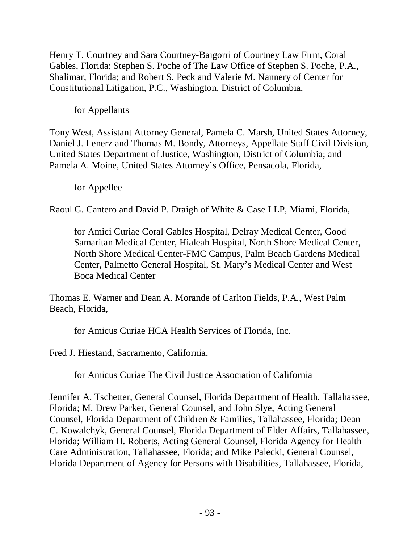Henry T. Courtney and Sara Courtney-Baigorri of Courtney Law Firm, Coral Gables, Florida; Stephen S. Poche of The Law Office of Stephen S. Poche, P.A., Shalimar, Florida; and Robert S. Peck and Valerie M. Nannery of Center for Constitutional Litigation, P.C., Washington, District of Columbia,

for Appellants

Tony West, Assistant Attorney General, Pamela C. Marsh, United States Attorney, Daniel J. Lenerz and Thomas M. Bondy, Attorneys, Appellate Staff Civil Division, United States Department of Justice, Washington, District of Columbia; and Pamela A. Moine, United States Attorney's Office, Pensacola, Florida,

for Appellee

Raoul G. Cantero and David P. Draigh of White & Case LLP, Miami, Florida,

for Amici Curiae Coral Gables Hospital, Delray Medical Center, Good Samaritan Medical Center, Hialeah Hospital, North Shore Medical Center, North Shore Medical Center-FMC Campus, Palm Beach Gardens Medical Center, Palmetto General Hospital, St. Mary's Medical Center and West Boca Medical Center

Thomas E. Warner and Dean A. Morande of Carlton Fields, P.A., West Palm Beach, Florida,

for Amicus Curiae HCA Health Services of Florida, Inc.

Fred J. Hiestand, Sacramento, California,

for Amicus Curiae The Civil Justice Association of California

Jennifer A. Tschetter, General Counsel, Florida Department of Health, Tallahassee, Florida; M. Drew Parker, General Counsel, and John Slye, Acting General Counsel, Florida Department of Children & Families, Tallahassee, Florida; Dean C. Kowalchyk, General Counsel, Florida Department of Elder Affairs, Tallahassee, Florida; William H. Roberts, Acting General Counsel, Florida Agency for Health Care Administration, Tallahassee, Florida; and Mike Palecki, General Counsel, Florida Department of Agency for Persons with Disabilities, Tallahassee, Florida,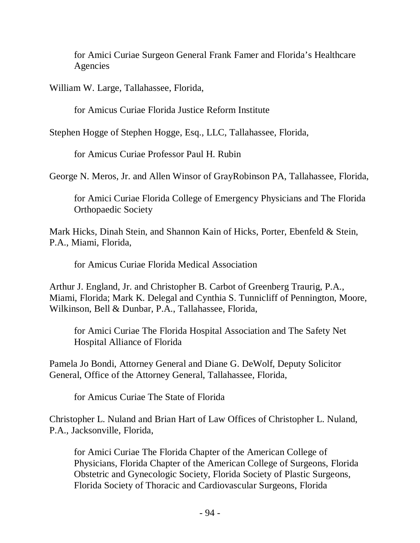for Amici Curiae Surgeon General Frank Famer and Florida's Healthcare Agencies

William W. Large, Tallahassee, Florida,

for Amicus Curiae Florida Justice Reform Institute

Stephen Hogge of Stephen Hogge, Esq., LLC, Tallahassee, Florida,

for Amicus Curiae Professor Paul H. Rubin

George N. Meros, Jr. and Allen Winsor of GrayRobinson PA, Tallahassee, Florida,

for Amici Curiae Florida College of Emergency Physicians and The Florida Orthopaedic Society

Mark Hicks, Dinah Stein, and Shannon Kain of Hicks, Porter, Ebenfeld & Stein, P.A., Miami, Florida,

for Amicus Curiae Florida Medical Association

Arthur J. England, Jr. and Christopher B. Carbot of Greenberg Traurig, P.A., Miami, Florida; Mark K. Delegal and Cynthia S. Tunnicliff of Pennington, Moore, Wilkinson, Bell & Dunbar, P.A., Tallahassee, Florida,

for Amici Curiae The Florida Hospital Association and The Safety Net Hospital Alliance of Florida

Pamela Jo Bondi, Attorney General and Diane G. DeWolf, Deputy Solicitor General, Office of the Attorney General, Tallahassee, Florida,

for Amicus Curiae The State of Florida

Christopher L. Nuland and Brian Hart of Law Offices of Christopher L. Nuland, P.A., Jacksonville, Florida,

for Amici Curiae The Florida Chapter of the American College of Physicians, Florida Chapter of the American College of Surgeons, Florida Obstetric and Gynecologic Society, Florida Society of Plastic Surgeons, Florida Society of Thoracic and Cardiovascular Surgeons, Florida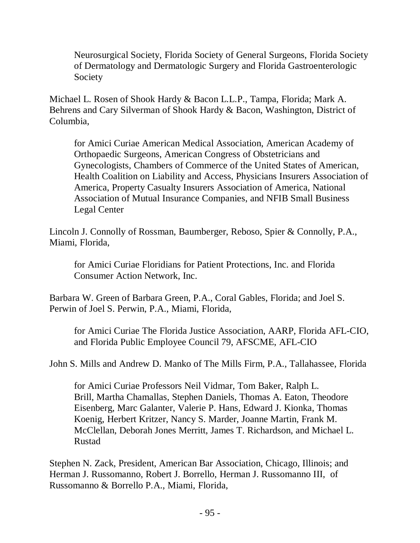Neurosurgical Society, Florida Society of General Surgeons, Florida Society of Dermatology and Dermatologic Surgery and Florida Gastroenterologic Society

Michael L. Rosen of Shook Hardy & Bacon L.L.P., Tampa, Florida; Mark A. Behrens and Cary Silverman of Shook Hardy & Bacon, Washington, District of Columbia,

for Amici Curiae American Medical Association, American Academy of Orthopaedic Surgeons, American Congress of Obstetricians and Gynecologists, Chambers of Commerce of the United States of American, Health Coalition on Liability and Access, Physicians Insurers Association of America, Property Casualty Insurers Association of America, National Association of Mutual Insurance Companies, and NFIB Small Business Legal Center

Lincoln J. Connolly of Rossman, Baumberger, Reboso, Spier & Connolly, P.A., Miami, Florida,

for Amici Curiae Floridians for Patient Protections, Inc. and Florida Consumer Action Network, Inc.

Barbara W. Green of Barbara Green, P.A., Coral Gables, Florida; and Joel S. Perwin of Joel S. Perwin, P.A., Miami, Florida,

for Amici Curiae The Florida Justice Association, AARP, Florida AFL-CIO, and Florida Public Employee Council 79, AFSCME, AFL-CIO

John S. Mills and Andrew D. Manko of The Mills Firm, P.A., Tallahassee, Florida

for Amici Curiae Professors Neil Vidmar, Tom Baker, Ralph L. Brill, Martha Chamallas, Stephen Daniels, Thomas A. Eaton, Theodore Eisenberg, Marc Galanter, Valerie P. Hans, Edward J. Kionka, Thomas Koenig, Herbert Kritzer, Nancy S. Marder, Joanne Martin, Frank M. McClellan, Deborah Jones Merritt, James T. Richardson, and Michael L. Rustad

Stephen N. Zack, President, American Bar Association, Chicago, Illinois; and Herman J. Russomanno, Robert J. Borrello, Herman J. Russomanno III, of Russomanno & Borrello P.A., Miami, Florida,